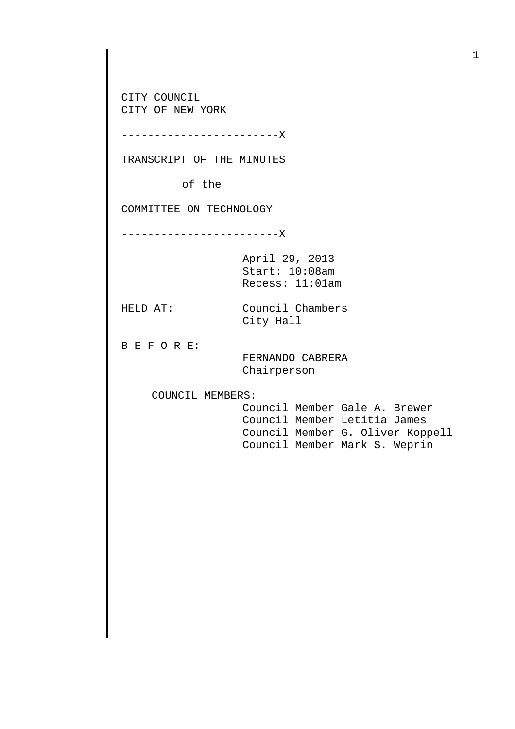CITY COUNCIL CITY OF NEW YORK

------------------------X

TRANSCRIPT OF THE MINUTES

of the

COMMITTEE ON TECHNOLOGY

------------------------X

April 29, 2013 Start: 10:08am Recess: 11:01am

HELD AT: Council Chambers City Hall

B E F O R E:

 FERNANDO CABRERA Chairperson

COUNCIL MEMBERS:

 Council Member Gale A. Brewer Council Member Letitia James Council Member G. Oliver Koppell Council Member Mark S. Weprin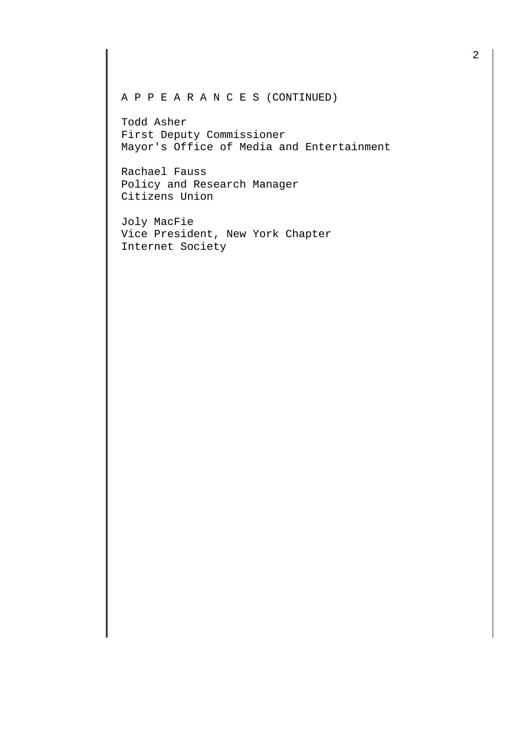A P P E A R A N C E S (CONTINUED)

Todd Asher First Deputy Commissioner Mayor's Office of Media and Entertainment

Rachael Fauss Policy and Research Manager Citizens Union

Joly MacFie Vice President, New York Chapter Internet Society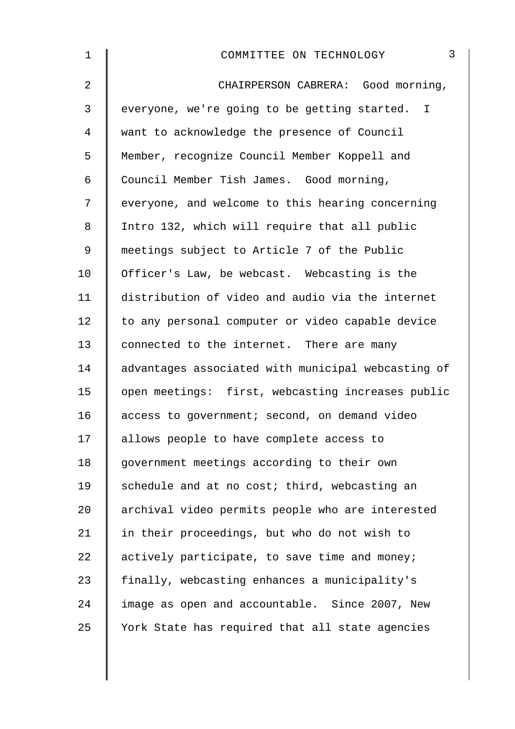| $\mathbf 1$    | $\mathfrak{Z}$<br>COMMITTEE ON TECHNOLOGY          |
|----------------|----------------------------------------------------|
| $\overline{2}$ | CHAIRPERSON CABRERA: Good morning,                 |
| 3              | everyone, we're going to be getting started. I     |
| 4              | want to acknowledge the presence of Council        |
| 5              | Member, recognize Council Member Koppell and       |
| 6              | Council Member Tish James. Good morning,           |
| 7              | everyone, and welcome to this hearing concerning   |
| 8              | Intro 132, which will require that all public      |
| 9              | meetings subject to Article 7 of the Public        |
| 10             | Officer's Law, be webcast. Webcasting is the       |
| 11             | distribution of video and audio via the internet   |
| 12             | to any personal computer or video capable device   |
| 13             | connected to the internet. There are many          |
| 14             | advantages associated with municipal webcasting of |
| 15             | open meetings: first, webcasting increases public  |
| 16             | access to government; second, on demand video      |
| 17             | allows people to have complete access to           |
| 18             | government meetings according to their own         |
| 19             | schedule and at no cost; third, webcasting an      |
| 20             | archival video permits people who are interested   |
| 21             | in their proceedings, but who do not wish to       |
| 22             | actively participate, to save time and money;      |
| 23             | finally, webcasting enhances a municipality's      |
| 24             | image as open and accountable. Since 2007, New     |
| 25             | York State has required that all state agencies    |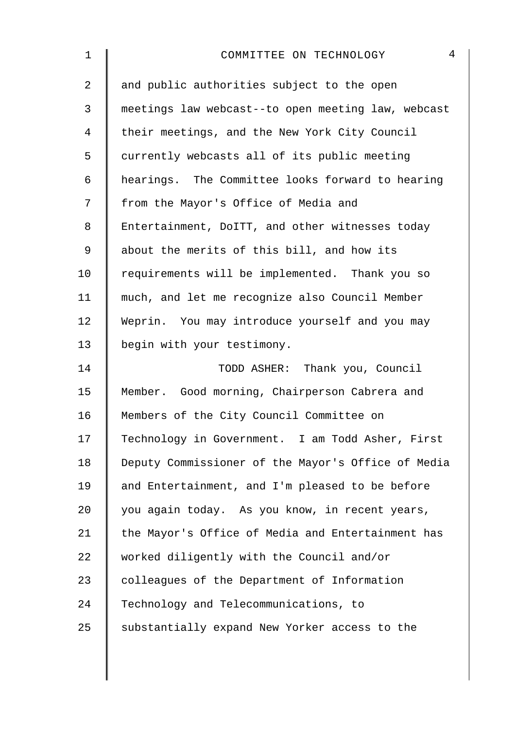| $\mathbf 1$    | $\overline{4}$<br>COMMITTEE ON TECHNOLOGY          |
|----------------|----------------------------------------------------|
| $\overline{2}$ | and public authorities subject to the open         |
| 3              | meetings law webcast--to open meeting law, webcast |
| 4              | their meetings, and the New York City Council      |
| 5              | currently webcasts all of its public meeting       |
| 6              | hearings. The Committee looks forward to hearing   |
| 7              | from the Mayor's Office of Media and               |
| 8              | Entertainment, DoITT, and other witnesses today    |
| 9              | about the merits of this bill, and how its         |
| 10             | requirements will be implemented. Thank you so     |
| 11             | much, and let me recognize also Council Member     |
| 12             | Weprin. You may introduce yourself and you may     |
| 13             | begin with your testimony.                         |
| 14             | TODD ASHER: Thank you, Council                     |
| 15             | Member. Good morning, Chairperson Cabrera and      |
| 16             | Members of the City Council Committee on           |
| 17             | Technology in Government. I am Todd Asher, First   |
| 18             | Deputy Commissioner of the Mayor's Office of Media |
| 19             | and Entertainment, and I'm pleased to be before    |
| 20             | you again today. As you know, in recent years,     |
| 21             | the Mayor's Office of Media and Entertainment has  |
| 22             | worked diligently with the Council and/or          |
| 23             | colleagues of the Department of Information        |
| 24             | Technology and Telecommunications, to              |
| 25             | substantially expand New Yorker access to the      |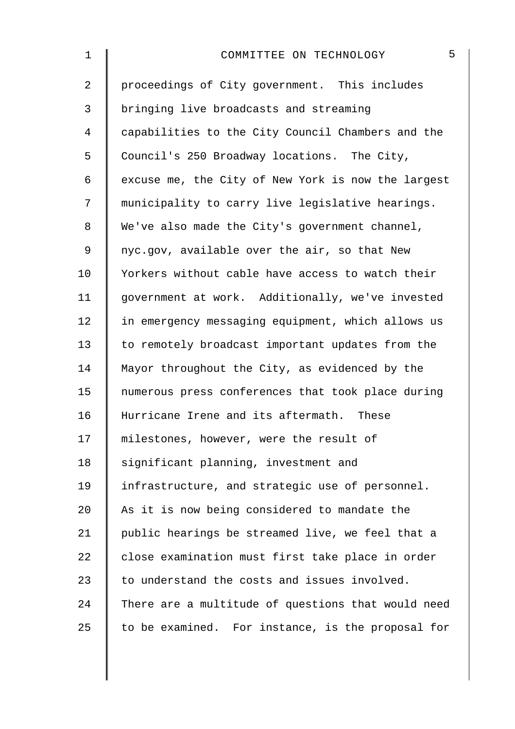| $\mathbf 1$    | 5<br>COMMITTEE ON TECHNOLOGY                       |
|----------------|----------------------------------------------------|
| $\overline{2}$ | proceedings of City government. This includes      |
| 3              | bringing live broadcasts and streaming             |
| 4              | capabilities to the City Council Chambers and the  |
| 5              | Council's 250 Broadway locations. The City,        |
| 6              | excuse me, the City of New York is now the largest |
| 7              | municipality to carry live legislative hearings.   |
| 8              | We've also made the City's government channel,     |
| 9              | nyc.gov, available over the air, so that New       |
| 10             | Yorkers without cable have access to watch their   |
| 11             | government at work. Additionally, we've invested   |
| 12             | in emergency messaging equipment, which allows us  |
| 13             | to remotely broadcast important updates from the   |
| 14             | Mayor throughout the City, as evidenced by the     |
| 15             | numerous press conferences that took place during  |
| 16             | Hurricane Irene and its aftermath. These           |
| 17             | milestones, however, were the result of            |
| 18             | significant planning, investment and               |
| 19             | infrastructure, and strategic use of personnel.    |
| 20             | As it is now being considered to mandate the       |
| 21             | public hearings be streamed live, we feel that a   |
| 22             | close examination must first take place in order   |
| 23             | to understand the costs and issues involved.       |
| 24             | There are a multitude of questions that would need |
| 25             | to be examined. For instance, is the proposal for  |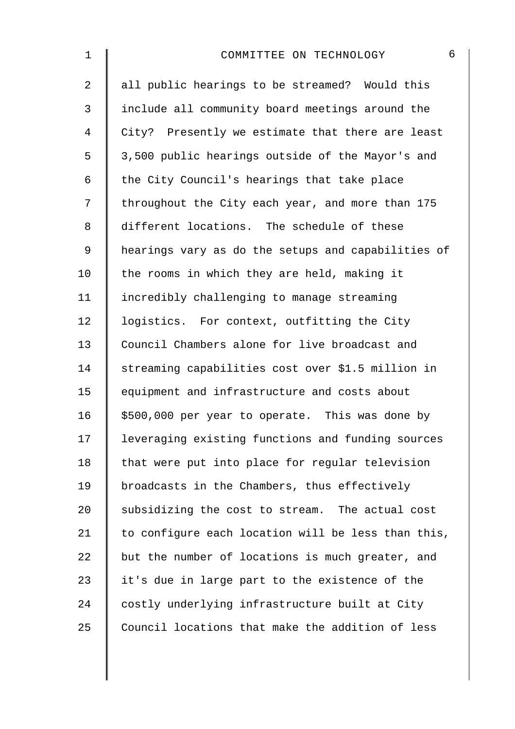| 1              | 6<br>COMMITTEE ON TECHNOLOGY                       |
|----------------|----------------------------------------------------|
| $\overline{a}$ | all public hearings to be streamed? Would this     |
| $\mathfrak{Z}$ | include all community board meetings around the    |
| $\overline{4}$ | City? Presently we estimate that there are least   |
| 5              | 3,500 public hearings outside of the Mayor's and   |
| 6              | the City Council's hearings that take place        |
| 7              | throughout the City each year, and more than 175   |
| 8              | different locations. The schedule of these         |
| 9              | hearings vary as do the setups and capabilities of |
| 10             | the rooms in which they are held, making it        |
| 11             | incredibly challenging to manage streaming         |
| 12             | logistics. For context, outfitting the City        |
| 13             | Council Chambers alone for live broadcast and      |
| 14             | streaming capabilities cost over \$1.5 million in  |
| 15             | equipment and infrastructure and costs about       |
| 16             | \$500,000 per year to operate. This was done by    |
| 17             | leveraging existing functions and funding sources  |
| 18             | that were put into place for regular television    |
| 19             | broadcasts in the Chambers, thus effectively       |
| 20             | subsidizing the cost to stream. The actual cost    |
| 21             | to configure each location will be less than this, |
| 22             | but the number of locations is much greater, and   |
| 23             | it's due in large part to the existence of the     |
| 24             | costly underlying infrastructure built at City     |
| 25             | Council locations that make the addition of less   |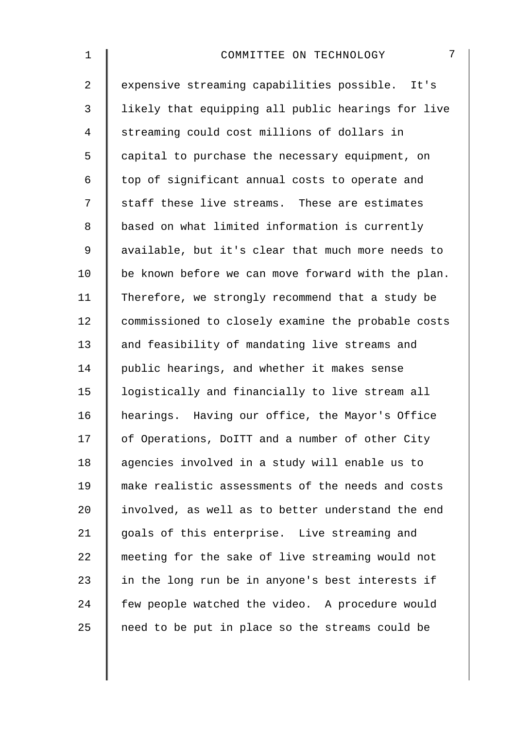| $\mathbf 1$    | 7<br>COMMITTEE ON TECHNOLOGY                       |
|----------------|----------------------------------------------------|
| $\overline{2}$ | expensive streaming capabilities possible. It's    |
| 3              | likely that equipping all public hearings for live |
| $\overline{4}$ | streaming could cost millions of dollars in        |
| 5              | capital to purchase the necessary equipment, on    |
| 6              | top of significant annual costs to operate and     |
| 7              | staff these live streams. These are estimates      |
| 8              | based on what limited information is currently     |
| $\mathsf 9$    | available, but it's clear that much more needs to  |
| 10             | be known before we can move forward with the plan. |
| 11             | Therefore, we strongly recommend that a study be   |
| 12             | commissioned to closely examine the probable costs |
| 13             | and feasibility of mandating live streams and      |
| 14             | public hearings, and whether it makes sense        |
| 15             | logistically and financially to live stream all    |
| 16             | hearings. Having our office, the Mayor's Office    |
| 17             | of Operations, DoITT and a number of other City    |
| 18             | agencies involved in a study will enable us to     |
| 19             | make realistic assessments of the needs and costs  |
| 20             | involved, as well as to better understand the end  |
| 21             | goals of this enterprise. Live streaming and       |
| 22             | meeting for the sake of live streaming would not   |
| 23             | in the long run be in anyone's best interests if   |
| 24             | few people watched the video. A procedure would    |
| 25             | need to be put in place so the streams could be    |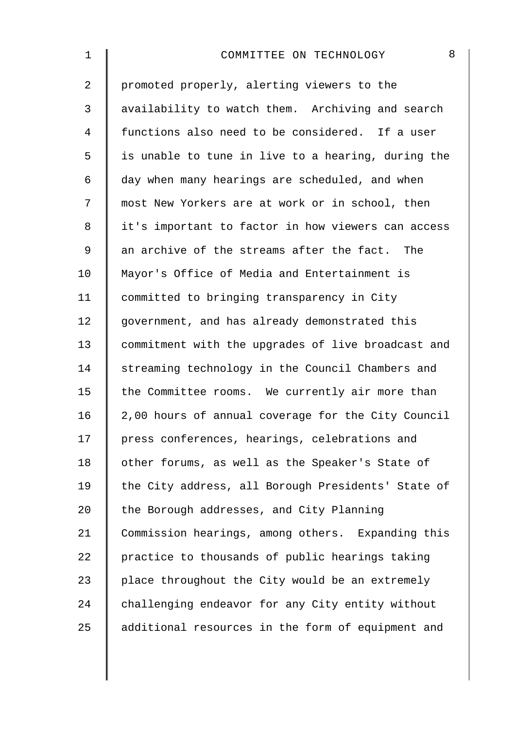| 1              | 8<br>COMMITTEE ON TECHNOLOGY                       |
|----------------|----------------------------------------------------|
| $\overline{2}$ | promoted properly, alerting viewers to the         |
| $\mathfrak{Z}$ | availability to watch them. Archiving and search   |
| 4              | functions also need to be considered. If a user    |
| 5              | is unable to tune in live to a hearing, during the |
| 6              | day when many hearings are scheduled, and when     |
| 7              | most New Yorkers are at work or in school, then    |
| 8              | it's important to factor in how viewers can access |
| 9              | an archive of the streams after the fact. The      |
| 10             | Mayor's Office of Media and Entertainment is       |
| 11             | committed to bringing transparency in City         |
| 12             | government, and has already demonstrated this      |
| 13             | commitment with the upgrades of live broadcast and |
| 14             | streaming technology in the Council Chambers and   |
| 15             | the Committee rooms. We currently air more than    |
| 16             | 2,00 hours of annual coverage for the City Council |
| 17             | press conferences, hearings, celebrations and      |
| 18             | other forums, as well as the Speaker's State of    |
| 19             | the City address, all Borough Presidents' State of |
| 20             | the Borough addresses, and City Planning           |
| 21             | Commission hearings, among others. Expanding this  |
| 22             | practice to thousands of public hearings taking    |
| 23             | place throughout the City would be an extremely    |
| 24             | challenging endeavor for any City entity without   |
| 25             | additional resources in the form of equipment and  |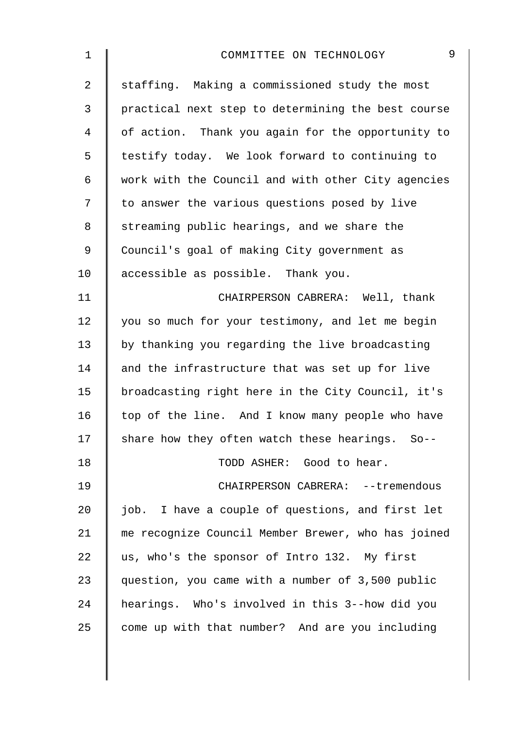| 1           | 9<br>COMMITTEE ON TECHNOLOGY                       |
|-------------|----------------------------------------------------|
| 2           | staffing. Making a commissioned study the most     |
| 3           | practical next step to determining the best course |
| 4           | of action. Thank you again for the opportunity to  |
| 5           | testify today. We look forward to continuing to    |
| 6           | work with the Council and with other City agencies |
| 7           | to answer the various questions posed by live      |
| 8           | streaming public hearings, and we share the        |
| $\mathsf 9$ | Council's goal of making City government as        |
| 10          | accessible as possible. Thank you.                 |
| 11          | CHAIRPERSON CABRERA: Well, thank                   |
| 12          | you so much for your testimony, and let me begin   |
| 13          | by thanking you regarding the live broadcasting    |
| 14          | and the infrastructure that was set up for live    |
| 15          | broadcasting right here in the City Council, it's  |
| 16          | top of the line. And I know many people who have   |
| 17          | share how they often watch these hearings. So--    |
| 18          | TODD ASHER: Good to hear.                          |
| 19          | CHAIRPERSON CABRERA: -- tremendous                 |
| 20          | job. I have a couple of questions, and first let   |
| 21          | me recognize Council Member Brewer, who has joined |
| 22          | us, who's the sponsor of Intro 132. My first       |
| 23          | question, you came with a number of 3,500 public   |
| 24          | hearings. Who's involved in this 3--how did you    |
| 25          | come up with that number? And are you including    |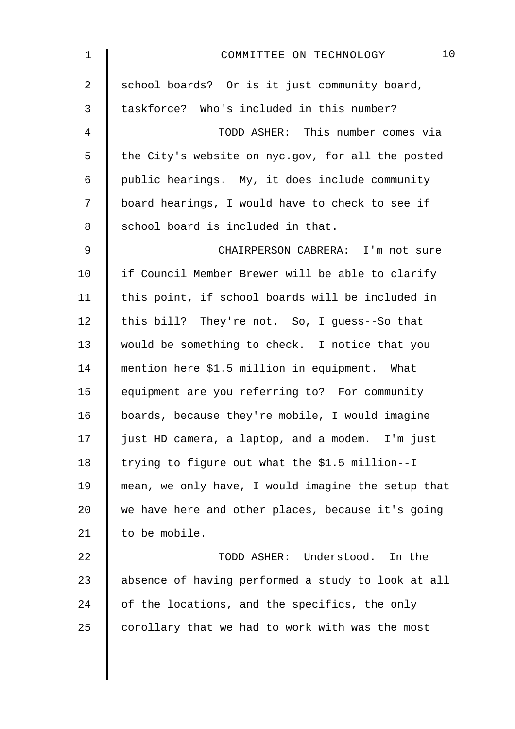| $\mathbf{1}$   | 10<br>COMMITTEE ON TECHNOLOGY                      |
|----------------|----------------------------------------------------|
| $\overline{a}$ | school boards? Or is it just community board,      |
| 3              | taskforce? Who's included in this number?          |
| $\overline{4}$ | TODD ASHER: This number comes via                  |
| 5              | the City's website on nyc.gov, for all the posted  |
| 6              | public hearings. My, it does include community     |
| 7              | board hearings, I would have to check to see if    |
| 8              | school board is included in that.                  |
| $\mathsf 9$    | CHAIRPERSON CABRERA: I'm not sure                  |
| 10             | if Council Member Brewer will be able to clarify   |
| 11             | this point, if school boards will be included in   |
| 12             | this bill? They're not. So, I guess--So that       |
| 13             | would be something to check. I notice that you     |
| 14             | mention here \$1.5 million in equipment. What      |
| 15             | equipment are you referring to? For community      |
| 16             | boards, because they're mobile, I would imagine    |
| 17             | just HD camera, a laptop, and a modem. I'm just    |
| 18             | trying to figure out what the \$1.5 million--I     |
| 19             | mean, we only have, I would imagine the setup that |
| 20             | we have here and other places, because it's going  |
| 21             | to be mobile.                                      |
| 22             | TODD ASHER: Understood.<br>In the                  |
| 23             | absence of having performed a study to look at all |
| 24             | of the locations, and the specifics, the only      |
| 25             | corollary that we had to work with was the most    |
|                |                                                    |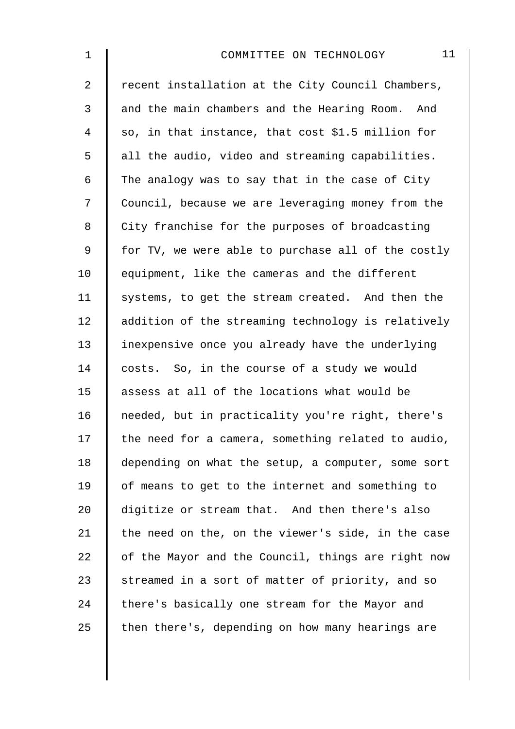| 1              | 11<br>COMMITTEE ON TECHNOLOGY                      |
|----------------|----------------------------------------------------|
| $\overline{2}$ | recent installation at the City Council Chambers,  |
| 3              | and the main chambers and the Hearing Room. And    |
| 4              | so, in that instance, that cost \$1.5 million for  |
| 5              | all the audio, video and streaming capabilities.   |
| 6              | The analogy was to say that in the case of City    |
| 7              | Council, because we are leveraging money from the  |
| 8              | City franchise for the purposes of broadcasting    |
| 9              | for TV, we were able to purchase all of the costly |
| 10             | equipment, like the cameras and the different      |
| 11             | systems, to get the stream created. And then the   |
| 12             | addition of the streaming technology is relatively |
| 13             | inexpensive once you already have the underlying   |
| 14             | costs. So, in the course of a study we would       |
| 15             | assess at all of the locations what would be       |
| 16             | needed, but in practicality you're right, there's  |
| 17             | the need for a camera, something related to audio, |
| 18             | depending on what the setup, a computer, some sort |
| 19             | of means to get to the internet and something to   |
| 20             | digitize or stream that. And then there's also     |
| 21             | the need on the, on the viewer's side, in the case |
| 22             | of the Mayor and the Council, things are right now |
| 23             | streamed in a sort of matter of priority, and so   |
| 24             | there's basically one stream for the Mayor and     |
| 25             | then there's, depending on how many hearings are   |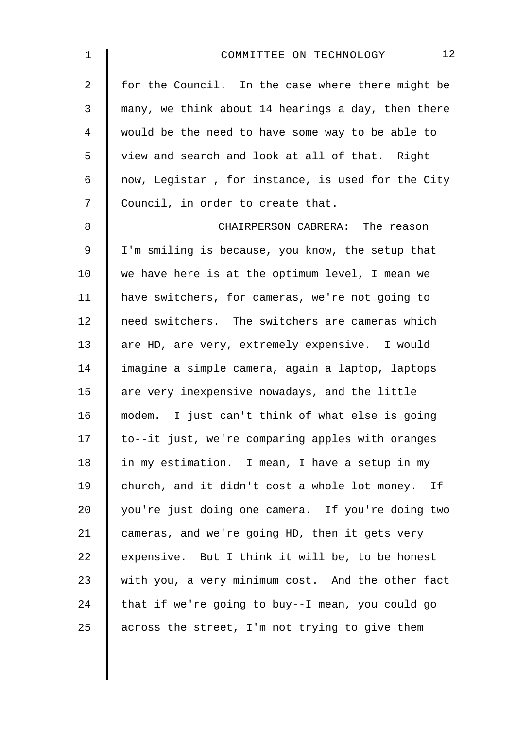| $\mathbf 1$    | 12<br>COMMITTEE ON TECHNOLOGY                      |
|----------------|----------------------------------------------------|
| $\overline{2}$ | for the Council. In the case where there might be  |
| 3              | many, we think about 14 hearings a day, then there |
| 4              | would be the need to have some way to be able to   |
| 5              | view and search and look at all of that. Right     |
| 6              | now, Legistar, for instance, is used for the City  |
| 7              | Council, in order to create that.                  |
| 8              | CHAIRPERSON CABRERA: The reason                    |
| $\mathsf 9$    | I'm smiling is because, you know, the setup that   |
| 10             | we have here is at the optimum level, I mean we    |
| 11             | have switchers, for cameras, we're not going to    |
| 12             | need switchers. The switchers are cameras which    |
| 13             | are HD, are very, extremely expensive. I would     |
| 14             | imagine a simple camera, again a laptop, laptops   |
| 15             | are very inexpensive nowadays, and the little      |
| 16             | modem. I just can't think of what else is going    |
| 17             | to--it just, we're comparing apples with oranges   |
| 18             | in my estimation. I mean, I have a setup in my     |
| 19             | church, and it didn't cost a whole lot money. If   |
| 20             | you're just doing one camera. If you're doing two  |
| 21             | cameras, and we're going HD, then it gets very     |
| 22             | expensive. But I think it will be, to be honest    |
| 23             | with you, a very minimum cost. And the other fact  |
| 24             | that if we're going to buy--I mean, you could go   |
| 25             | across the street, I'm not trying to give them     |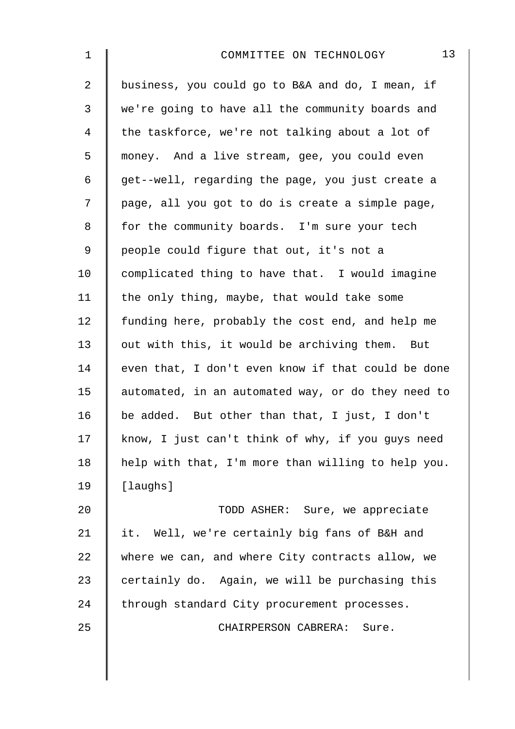| 1              | 13<br>COMMITTEE ON TECHNOLOGY                      |
|----------------|----------------------------------------------------|
| $\overline{2}$ | business, you could go to B&A and do, I mean, if   |
| 3              | we're going to have all the community boards and   |
| 4              | the taskforce, we're not talking about a lot of    |
| 5              | money. And a live stream, gee, you could even      |
| 6              | get--well, regarding the page, you just create a   |
| 7              | page, all you got to do is create a simple page,   |
| 8              | for the community boards. I'm sure your tech       |
| 9              | people could figure that out, it's not a           |
| 10             | complicated thing to have that. I would imagine    |
| 11             | the only thing, maybe, that would take some        |
| 12             | funding here, probably the cost end, and help me   |
| 13             | out with this, it would be archiving them. But     |
| 14             | even that, I don't even know if that could be done |
| 15             | automated, in an automated way, or do they need to |
| 16             | be added. But other than that, I just, I don't     |
| 17             | know, I just can't think of why, if you guys need  |
| 18             | help with that, I'm more than willing to help you. |
| 19             | [laughs]                                           |
| 20             | TODD ASHER: Sure, we appreciate                    |
| 21             | it. Well, we're certainly big fans of B&H and      |
| 22             | where we can, and where City contracts allow, we   |
| 23             | certainly do. Again, we will be purchasing this    |
| 24             | through standard City procurement processes.       |
| 25             | CHAIRPERSON CABRERA: Sure.                         |
|                |                                                    |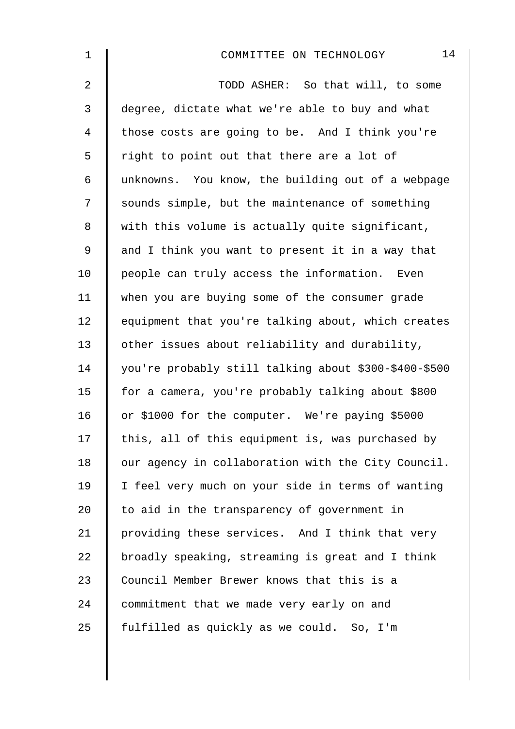| $\mathbf 1$    | 14<br>COMMITTEE ON TECHNOLOGY                         |
|----------------|-------------------------------------------------------|
| $\overline{2}$ | TODD ASHER: So that will, to some                     |
| 3              | degree, dictate what we're able to buy and what       |
| 4              | those costs are going to be. And I think you're       |
| 5              | right to point out that there are a lot of            |
| 6              | unknowns. You know, the building out of a webpage     |
| 7              | sounds simple, but the maintenance of something       |
| 8              | with this volume is actually quite significant,       |
| 9              | and I think you want to present it in a way that      |
| 10             | people can truly access the information. Even         |
| 11             | when you are buying some of the consumer grade        |
| 12             | equipment that you're talking about, which creates    |
| 13             | other issues about reliability and durability,        |
| 14             | you're probably still talking about \$300-\$400-\$500 |
| 15             | for a camera, you're probably talking about \$800     |
| 16             | or \$1000 for the computer. We're paying \$5000       |
| 17             | this, all of this equipment is, was purchased by      |
| 18             | our agency in collaboration with the City Council.    |
| 19             | I feel very much on your side in terms of wanting     |
| 20             | to aid in the transparency of government in           |
| 21             | providing these services. And I think that very       |
| 22             | broadly speaking, streaming is great and I think      |
| 23             | Council Member Brewer knows that this is a            |
| 24             | commitment that we made very early on and             |
| 25             | fulfilled as quickly as we could. So, I'm             |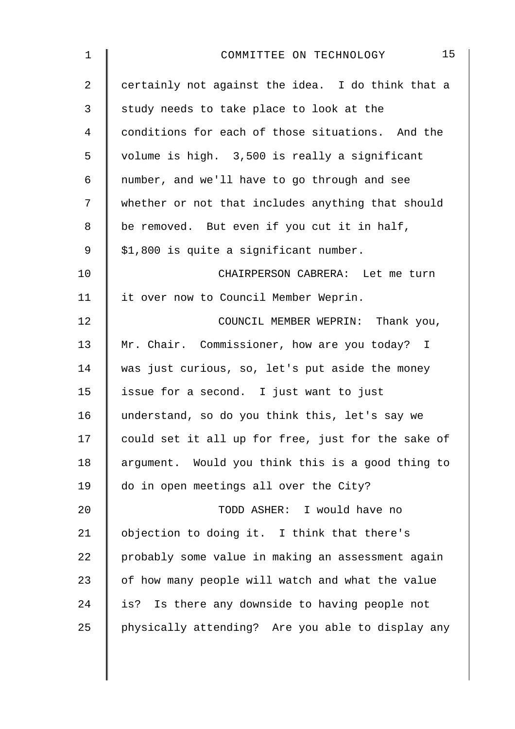| 1              | 15<br>COMMITTEE ON TECHNOLOGY                      |
|----------------|----------------------------------------------------|
| 2              | certainly not against the idea. I do think that a  |
| 3              | study needs to take place to look at the           |
| $\overline{4}$ | conditions for each of those situations. And the   |
| 5              | volume is high. 3,500 is really a significant      |
| 6              | number, and we'll have to go through and see       |
| 7              | whether or not that includes anything that should  |
| 8              | be removed. But even if you cut it in half,        |
| $\mathsf 9$    | \$1,800 is quite a significant number.             |
| 10             | CHAIRPERSON CABRERA: Let me turn                   |
| 11             | it over now to Council Member Weprin.              |
| 12             | COUNCIL MEMBER WEPRIN: Thank you,                  |
| 13             | Mr. Chair. Commissioner, how are you today? I      |
| 14             | was just curious, so, let's put aside the money    |
| 15             | issue for a second. I just want to just            |
| 16             | understand, so do you think this, let's say we     |
| 17             | could set it all up for free, just for the sake of |
| 18             | argument. Would you think this is a good thing to  |
| 19             | do in open meetings all over the City?             |
| 20             | TODD ASHER: I would have no                        |
| 21             | objection to doing it. I think that there's        |
| 22             | probably some value in making an assessment again  |
| 23             | of how many people will watch and what the value   |
| 24             | Is there any downside to having people not<br>is?  |
| 25             | physically attending? Are you able to display any  |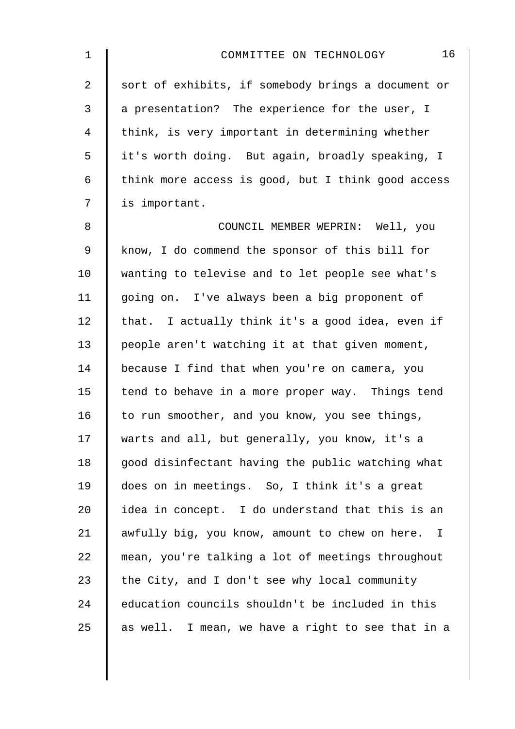| $\mathbf 1$    | 16<br>COMMITTEE ON TECHNOLOGY                      |
|----------------|----------------------------------------------------|
| $\overline{a}$ | sort of exhibits, if somebody brings a document or |
| 3              | a presentation? The experience for the user, I     |
| 4              | think, is very important in determining whether    |
| 5              | it's worth doing. But again, broadly speaking, I   |
| 6              | think more access is good, but I think good access |
| 7              | is important.                                      |
| 8              | COUNCIL MEMBER WEPRIN: Well, you                   |
| 9              | know, I do commend the sponsor of this bill for    |
| 10             | wanting to televise and to let people see what's   |
| 11             | going on. I've always been a big proponent of      |
| 12             | that. I actually think it's a good idea, even if   |
| 13             | people aren't watching it at that given moment,    |
| 14             | because I find that when you're on camera, you     |
| 15             | tend to behave in a more proper way. Things tend   |
| 16             | to run smoother, and you know, you see things,     |
| 17             | warts and all, but generally, you know, it's a     |
| 18             | good disinfectant having the public watching what  |
| 19             | does on in meetings. So, I think it's a great      |
| 20             | idea in concept. I do understand that this is an   |
| 21             | awfully big, you know, amount to chew on here. I   |
| 22             | mean, you're talking a lot of meetings throughout  |
| 23             | the City, and I don't see why local community      |
| 24             | education councils shouldn't be included in this   |
| 25             | as well. I mean, we have a right to see that in a  |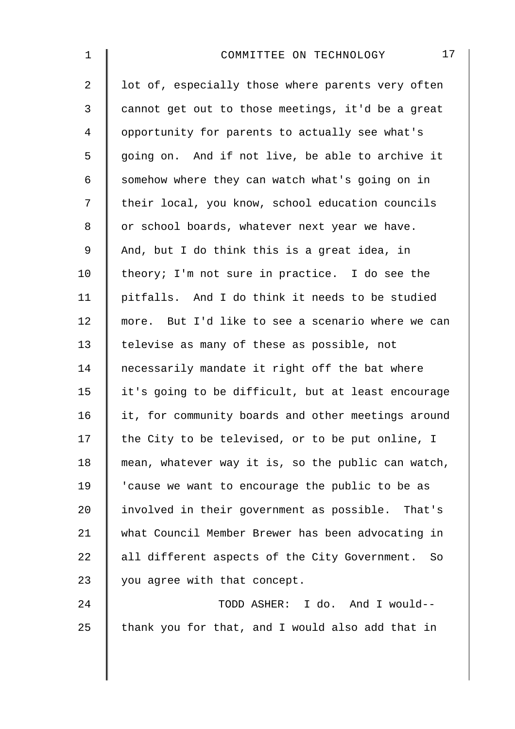| $\mathbf 1$    | 17<br>COMMITTEE ON TECHNOLOGY                       |
|----------------|-----------------------------------------------------|
| $\overline{2}$ | lot of, especially those where parents very often   |
| 3              | cannot get out to those meetings, it'd be a great   |
| $\overline{4}$ | opportunity for parents to actually see what's      |
| 5              | going on. And if not live, be able to archive it    |
| 6              | somehow where they can watch what's going on in     |
| 7              | their local, you know, school education councils    |
| 8              | or school boards, whatever next year we have.       |
| $\mathsf 9$    | And, but I do think this is a great idea, in        |
| 10             | theory; I'm not sure in practice. I do see the      |
| 11             | pitfalls. And I do think it needs to be studied     |
| 12             | more. But I'd like to see a scenario where we can   |
| 13             | televise as many of these as possible, not          |
| 14             | necessarily mandate it right off the bat where      |
| 15             | it's going to be difficult, but at least encourage  |
| 16             | it, for community boards and other meetings around  |
| 17             | the City to be televised, or to be put online, I    |
| 18             | mean, whatever way it is, so the public can watch,  |
| 19             | 'cause we want to encourage the public to be as     |
| 20             | involved in their government as possible. That's    |
| 21             | what Council Member Brewer has been advocating in   |
| 22             | all different aspects of the City Government.<br>So |
| 23             | you agree with that concept.                        |
| 24             | TODD ASHER: I do. And I would--                     |
| 25             | thank you for that, and I would also add that in    |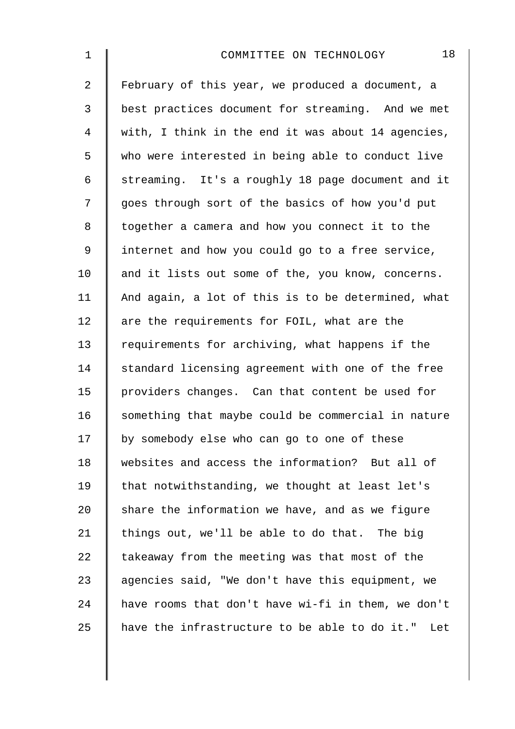| 1              | 18<br>COMMITTEE ON TECHNOLOGY                        |
|----------------|------------------------------------------------------|
| $\overline{a}$ | February of this year, we produced a document, a     |
| $\mathfrak{Z}$ | best practices document for streaming. And we met    |
| 4              | with, I think in the end it was about 14 agencies,   |
| 5              | who were interested in being able to conduct live    |
| 6              | streaming. It's a roughly 18 page document and it    |
| 7              | goes through sort of the basics of how you'd put     |
| 8              | together a camera and how you connect it to the      |
| $\mathsf 9$    | internet and how you could go to a free service,     |
| 10             | and it lists out some of the, you know, concerns.    |
| 11             | And again, a lot of this is to be determined, what   |
| 12             | are the requirements for FOIL, what are the          |
| 13             | requirements for archiving, what happens if the      |
| 14             | standard licensing agreement with one of the free    |
| 15             | providers changes. Can that content be used for      |
| 16             | something that maybe could be commercial in nature   |
| 17             | by somebody else who can go to one of these          |
| 18             | websites and access the information? But all of      |
| 19             | that notwithstanding, we thought at least let's      |
| 20             | share the information we have, and as we figure      |
| 21             | things out, we'll be able to do that. The big        |
| 22             | takeaway from the meeting was that most of the       |
| 23             | agencies said, "We don't have this equipment, we     |
| 24             | have rooms that don't have wi-fi in them, we don't   |
| 25             | have the infrastructure to be able to do it."<br>Let |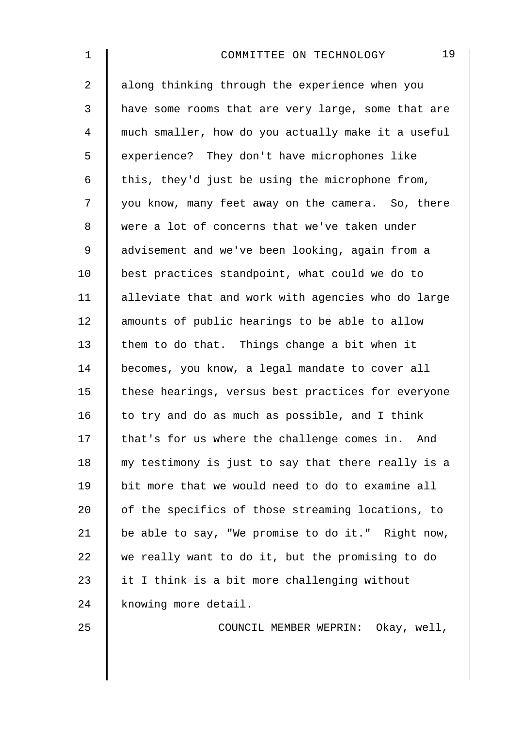| 1              | 19<br>COMMITTEE ON TECHNOLOGY                      |
|----------------|----------------------------------------------------|
| $\overline{2}$ | along thinking through the experience when you     |
| 3              | have some rooms that are very large, some that are |
| 4              | much smaller, how do you actually make it a useful |
| 5              | experience? They don't have microphones like       |
| 6              | this, they'd just be using the microphone from,    |
| 7              | you know, many feet away on the camera. So, there  |
| 8              | were a lot of concerns that we've taken under      |
| 9              | advisement and we've been looking, again from a    |
| 10             | best practices standpoint, what could we do to     |
| 11             | alleviate that and work with agencies who do large |
| 12             | amounts of public hearings to be able to allow     |
| 13             | them to do that. Things change a bit when it       |
| 14             | becomes, you know, a legal mandate to cover all    |
| 15             | these hearings, versus best practices for everyone |
| 16             | to try and do as much as possible, and I think     |
| 17             | that's for us where the challenge comes in. And    |
| 18             | my testimony is just to say that there really is a |
| 19             | bit more that we would need to do to examine all   |
| 20             | of the specifics of those streaming locations, to  |
| 21             | be able to say, "We promise to do it." Right now,  |
| 22             | we really want to do it, but the promising to do   |
| 23             | it I think is a bit more challenging without       |
| 24             | knowing more detail.                               |
| 25             | COUNCIL MEMBER WEPRIN: Okay, well,                 |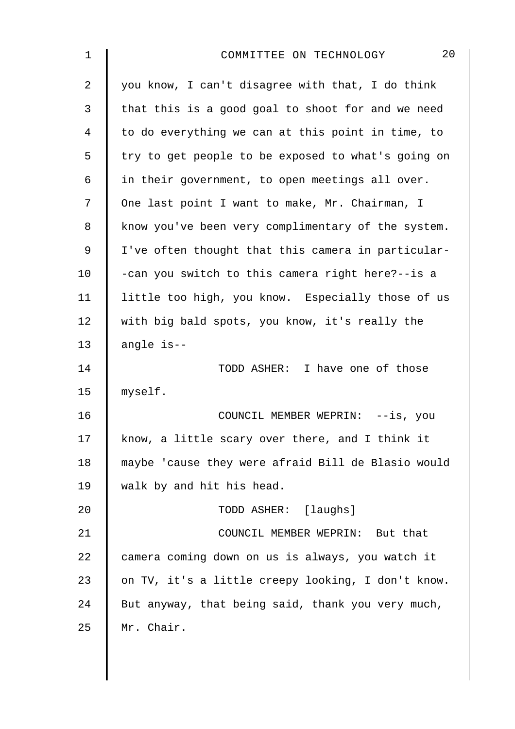| $\mathbf 1$    | 20<br>COMMITTEE ON TECHNOLOGY                      |
|----------------|----------------------------------------------------|
| 2              | you know, I can't disagree with that, I do think   |
| 3              | that this is a good goal to shoot for and we need  |
| $\overline{4}$ | to do everything we can at this point in time, to  |
| 5              | try to get people to be exposed to what's going on |
| 6              | in their government, to open meetings all over.    |
| 7              | One last point I want to make, Mr. Chairman, I     |
| 8              | know you've been very complimentary of the system. |
| $\mathsf 9$    | I've often thought that this camera in particular- |
| 10             | -can you switch to this camera right here?--is a   |
| 11             | little too high, you know. Especially those of us  |
| 12             | with big bald spots, you know, it's really the     |
| 13             | angle is--                                         |
| 14             | TODD ASHER: I have one of those                    |
| 15             | myself.                                            |
| 16             | COUNCIL MEMBER WEPRIN: --is, you                   |
| 17             | know, a little scary over there, and I think it    |
| 18             | maybe 'cause they were afraid Bill de Blasio would |
| 19             | walk by and hit his head.                          |
| 20             | TODD ASHER: [laughs]                               |
| 21             | COUNCIL MEMBER WEPRIN: But that                    |
| 22             | camera coming down on us is always, you watch it   |
| 23             | on TV, it's a little creepy looking, I don't know. |
| 24             | But anyway, that being said, thank you very much,  |
| 25             | Mr. Chair.                                         |
|                |                                                    |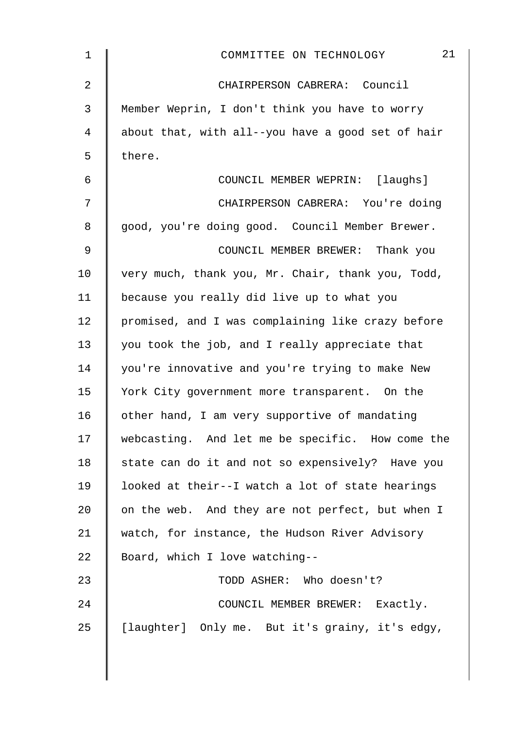| $\mathbf 1$    | 21<br>COMMITTEE ON TECHNOLOGY                     |
|----------------|---------------------------------------------------|
| $\overline{2}$ | CHAIRPERSON CABRERA: Council                      |
| 3              | Member Weprin, I don't think you have to worry    |
| 4              | about that, with all--you have a good set of hair |
| 5              | there.                                            |
| 6              | COUNCIL MEMBER WEPRIN: [laughs]                   |
| 7              | CHAIRPERSON CABRERA: You're doing                 |
| 8              | good, you're doing good. Council Member Brewer.   |
| $\mathsf 9$    | COUNCIL MEMBER BREWER: Thank you                  |
| 10             | very much, thank you, Mr. Chair, thank you, Todd, |
| 11             | because you really did live up to what you        |
| 12             | promised, and I was complaining like crazy before |
| 13             | you took the job, and I really appreciate that    |
| 14             | you're innovative and you're trying to make New   |
| 15             | York City government more transparent. On the     |
| 16             | other hand, I am very supportive of mandating     |
| 17             | webcasting. And let me be specific. How come the  |
| 18             | state can do it and not so expensively? Have you  |
| 19             | looked at their--I watch a lot of state hearings  |
| 20             | on the web. And they are not perfect, but when I  |
| 21             | watch, for instance, the Hudson River Advisory    |
| 22             | Board, which I love watching--                    |
| 23             | TODD ASHER: Who doesn't?                          |
| 24             | COUNCIL MEMBER BREWER: Exactly.                   |
| 25             | [laughter] Only me. But it's grainy, it's edgy,   |
|                |                                                   |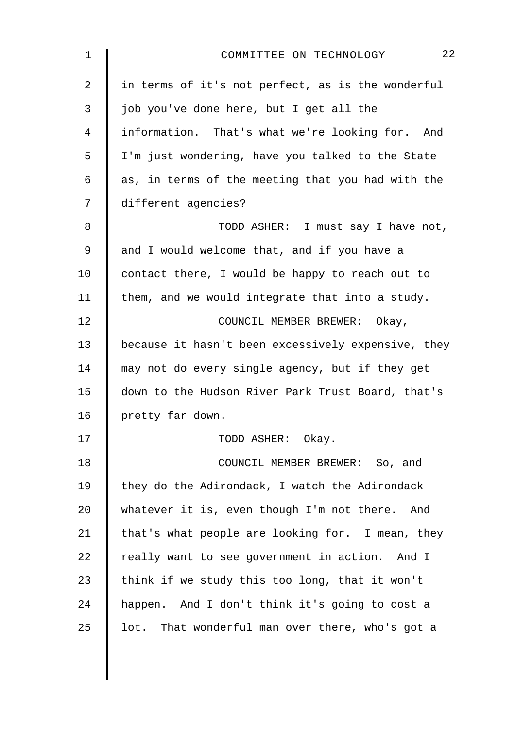| $\mathbf 1$    | 22<br>COMMITTEE ON TECHNOLOGY                      |
|----------------|----------------------------------------------------|
| $\overline{2}$ | in terms of it's not perfect, as is the wonderful  |
| 3              | job you've done here, but I get all the            |
| 4              | information. That's what we're looking for. And    |
| 5              | I'm just wondering, have you talked to the State   |
| 6              | as, in terms of the meeting that you had with the  |
| 7              | different agencies?                                |
| 8              | TODD ASHER: I must say I have not,                 |
| 9              | and I would welcome that, and if you have a        |
| 10             | contact there, I would be happy to reach out to    |
| 11             | them, and we would integrate that into a study.    |
| 12             | COUNCIL MEMBER BREWER: Okay,                       |
| 13             | because it hasn't been excessively expensive, they |
| 14             | may not do every single agency, but if they get    |
| 15             | down to the Hudson River Park Trust Board, that's  |
| 16             | pretty far down.                                   |
| 17             | TODD ASHER: Okay.                                  |
| 18             | COUNCIL MEMBER BREWER: So, and                     |
| 19             | they do the Adirondack, I watch the Adirondack     |
| 20             | whatever it is, even though I'm not there. And     |
| 21             | that's what people are looking for. I mean, they   |
| 22             | really want to see government in action. And I     |
| 23             | think if we study this too long, that it won't     |
| 24             | happen. And I don't think it's going to cost a     |
| 25             | lot. That wonderful man over there, who's got a    |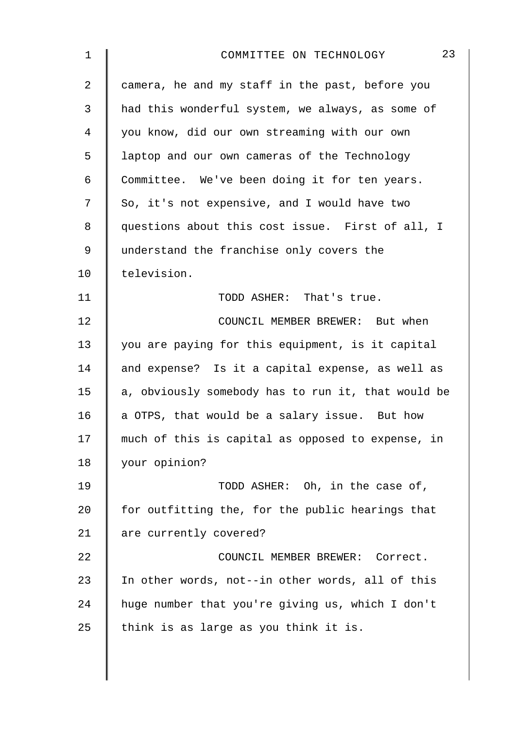| $\mathbf{1}$   | 23<br>COMMITTEE ON TECHNOLOGY                      |
|----------------|----------------------------------------------------|
| $\overline{a}$ | camera, he and my staff in the past, before you    |
| 3              | had this wonderful system, we always, as some of   |
| 4              | you know, did our own streaming with our own       |
| 5              | laptop and our own cameras of the Technology       |
| 6              | Committee. We've been doing it for ten years.      |
| 7              | So, it's not expensive, and I would have two       |
| 8              | questions about this cost issue. First of all, I   |
| 9              | understand the franchise only covers the           |
| 10             | television.                                        |
| 11             | TODD ASHER: That's true.                           |
| 12             | COUNCIL MEMBER BREWER: But when                    |
| 13             | you are paying for this equipment, is it capital   |
| 14             | and expense? Is it a capital expense, as well as   |
| 15             | a, obviously somebody has to run it, that would be |
| 16             | a OTPS, that would be a salary issue. But how      |
| 17             | much of this is capital as opposed to expense, in  |
| 18             | your opinion?                                      |
| 19             | TODD ASHER: Oh, in the case of,                    |
| 20             | for outfitting the, for the public hearings that   |
| 21             | are currently covered?                             |
| 22             | COUNCIL MEMBER BREWER: Correct.                    |
| 23             | In other words, not--in other words, all of this   |
| 24             | huge number that you're giving us, which I don't   |
| 25             | think is as large as you think it is.              |
|                |                                                    |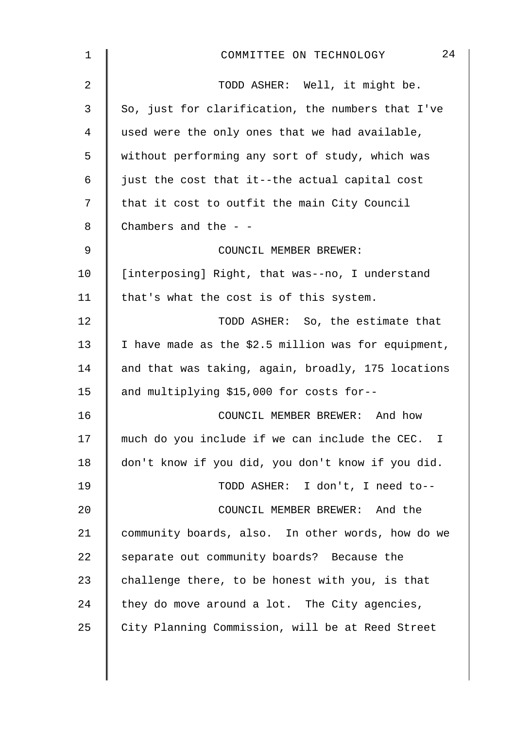| 1              | 24<br>COMMITTEE ON TECHNOLOGY                       |
|----------------|-----------------------------------------------------|
| $\overline{2}$ | TODD ASHER: Well, it might be.                      |
| 3              | So, just for clarification, the numbers that I've   |
| 4              | used were the only ones that we had available,      |
| 5              | without performing any sort of study, which was     |
| 6              | just the cost that it--the actual capital cost      |
| 7              | that it cost to outfit the main City Council        |
| 8              | Chambers and the $-$ -                              |
| 9              | COUNCIL MEMBER BREWER:                              |
| 10             | [interposing] Right, that was--no, I understand     |
| 11             | that's what the cost is of this system.             |
| 12             | TODD ASHER: So, the estimate that                   |
| 13             | I have made as the \$2.5 million was for equipment, |
| 14             | and that was taking, again, broadly, 175 locations  |
| 15             | and multiplying \$15,000 for costs for--            |
| 16             | COUNCIL MEMBER BREWER: And how                      |
| 17             | much do you include if we can include the CEC. I    |
| 18             | don't know if you did, you don't know if you did.   |
| 19             | TODD ASHER: I don't, I need to--                    |
| 20             | COUNCIL MEMBER BREWER: And the                      |
| 21             | community boards, also. In other words, how do we   |
| 22             | separate out community boards? Because the          |
| 23             | challenge there, to be honest with you, is that     |
| 24             | they do move around a lot. The City agencies,       |
| 25             | City Planning Commission, will be at Reed Street    |
|                |                                                     |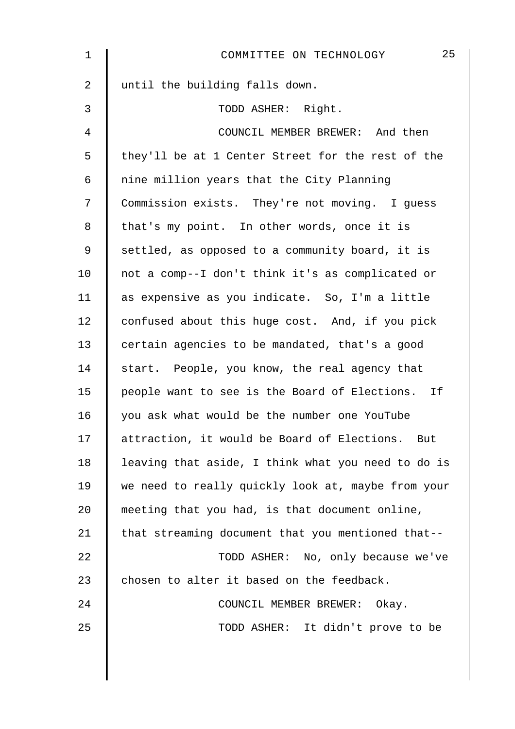| 1              | 25<br>COMMITTEE ON TECHNOLOGY                      |
|----------------|----------------------------------------------------|
| $\overline{2}$ | until the building falls down.                     |
| 3              | TODD ASHER: Right.                                 |
| 4              | COUNCIL MEMBER BREWER: And then                    |
| 5              | they'll be at 1 Center Street for the rest of the  |
| 6              | nine million years that the City Planning          |
| 7              | Commission exists. They're not moving. I guess     |
| 8              | that's my point. In other words, once it is        |
| 9              | settled, as opposed to a community board, it is    |
| 10             | not a comp--I don't think it's as complicated or   |
| 11             | as expensive as you indicate. So, I'm a little     |
| 12             | confused about this huge cost. And, if you pick    |
| 13             | certain agencies to be mandated, that's a good     |
| 14             | start. People, you know, the real agency that      |
| 15             | people want to see is the Board of Elections. If   |
| 16             | you ask what would be the number one YouTube       |
| 17             | attraction, it would be Board of Elections. But    |
| 18             | leaving that aside, I think what you need to do is |
| 19             | we need to really quickly look at, maybe from your |
| 20             | meeting that you had, is that document online,     |
| 21             | that streaming document that you mentioned that--  |
| 22             | TODD ASHER: No, only because we've                 |
| 23             | chosen to alter it based on the feedback.          |
| 24             | COUNCIL MEMBER BREWER: Okay.                       |
| 25             | TODD ASHER: It didn't prove to be                  |
|                |                                                    |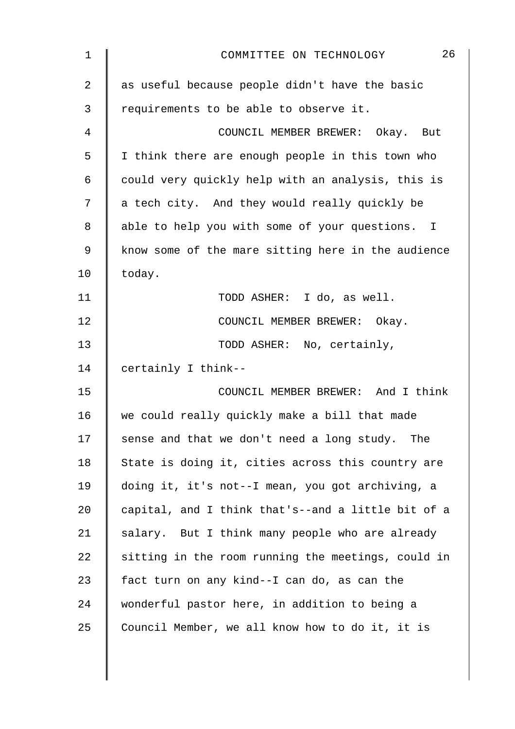| 1           | 26<br>COMMITTEE ON TECHNOLOGY                      |
|-------------|----------------------------------------------------|
| 2           | as useful because people didn't have the basic     |
| 3           | requirements to be able to observe it.             |
| 4           | COUNCIL MEMBER BREWER: Okay. But                   |
| 5           | I think there are enough people in this town who   |
| 6           | could very quickly help with an analysis, this is  |
| 7           | a tech city. And they would really quickly be      |
| 8           | able to help you with some of your questions. I    |
| $\mathsf 9$ | know some of the mare sitting here in the audience |
| 10          | today.                                             |
| 11          | TODD ASHER: I do, as well.                         |
| 12          | COUNCIL MEMBER BREWER: Okay.                       |
| 13          | TODD ASHER: No, certainly,                         |
| 14          | certainly I think--                                |
| 15          | COUNCIL MEMBER BREWER: And I think                 |
| 16          | we could really quickly make a bill that made      |
| 17          | sense and that we don't need a long study. The     |
| 18          | State is doing it, cities across this country are  |
| 19          | doing it, it's not--I mean, you got archiving, a   |
| 20          | capital, and I think that's--and a little bit of a |
| 21          | salary. But I think many people who are already    |
| 22          | sitting in the room running the meetings, could in |
| 23          | fact turn on any kind--I can do, as can the        |
| 24          | wonderful pastor here, in addition to being a      |
| 25          | Council Member, we all know how to do it, it is    |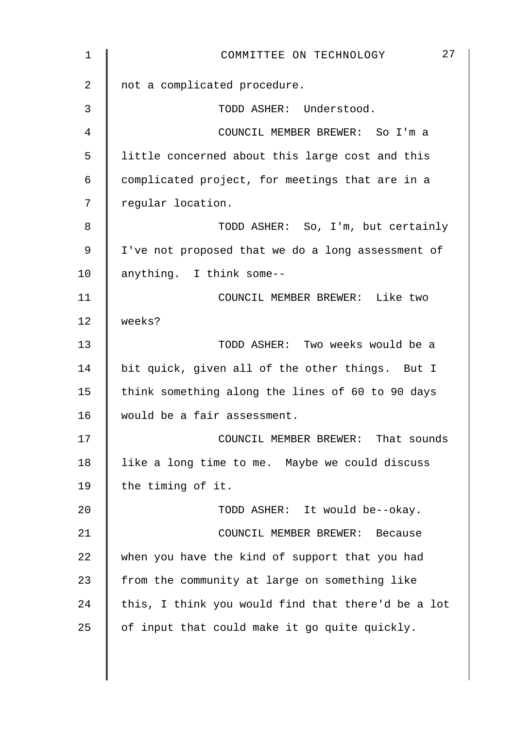| 1  | 27<br>COMMITTEE ON TECHNOLOGY                      |
|----|----------------------------------------------------|
| 2  | not a complicated procedure.                       |
| 3  | TODD ASHER: Understood.                            |
| 4  | COUNCIL MEMBER BREWER: So I'm a                    |
| 5  | little concerned about this large cost and this    |
| 6  | complicated project, for meetings that are in a    |
| 7  | regular location.                                  |
| 8  | TODD ASHER: So, I'm, but certainly                 |
| 9  | I've not proposed that we do a long assessment of  |
| 10 | anything. I think some--                           |
| 11 | COUNCIL MEMBER BREWER: Like two                    |
| 12 | weeks?                                             |
| 13 | TODD ASHER: Two weeks would be a                   |
| 14 | bit quick, given all of the other things. But I    |
| 15 | think something along the lines of 60 to 90 days   |
| 16 | would be a fair assessment.                        |
| 17 | COUNCIL MEMBER BREWER: That sounds                 |
| 18 | like a long time to me. Maybe we could discuss     |
| 19 | the timing of it.                                  |
| 20 | TODD ASHER: It would be--okay.                     |
| 21 | COUNCIL MEMBER BREWER: Because                     |
| 22 | when you have the kind of support that you had     |
| 23 | from the community at large on something like      |
| 24 | this, I think you would find that there'd be a lot |
| 25 | of input that could make it go quite quickly.      |
|    |                                                    |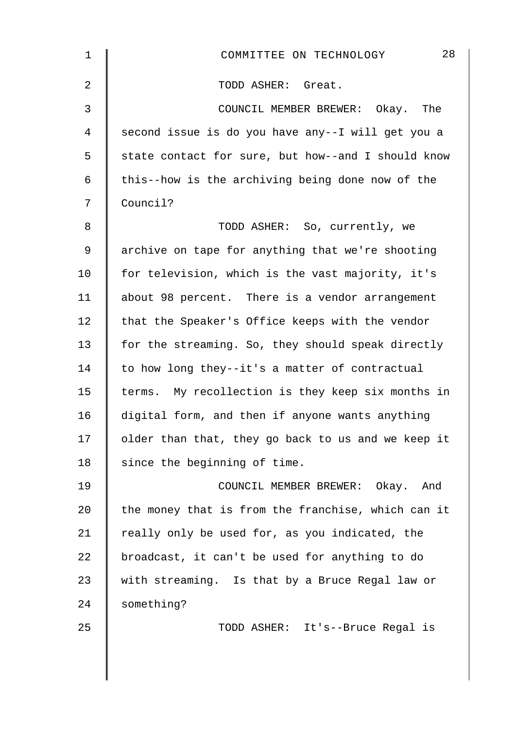| $\mathbf{1}$   | 28<br>COMMITTEE ON TECHNOLOGY                      |
|----------------|----------------------------------------------------|
| 2              | TODD ASHER: Great.                                 |
| $\mathfrak{Z}$ | COUNCIL MEMBER BREWER: Okay. The                   |
| 4              | second issue is do you have any--I will get you a  |
| 5              | state contact for sure, but how--and I should know |
| 6              | this--how is the archiving being done now of the   |
| 7              | Council?                                           |
| 8              | TODD ASHER: So, currently, we                      |
| 9              | archive on tape for anything that we're shooting   |
| 10             | for television, which is the vast majority, it's   |
| 11             | about 98 percent. There is a vendor arrangement    |
| 12             | that the Speaker's Office keeps with the vendor    |
| 13             | for the streaming. So, they should speak directly  |
| 14             | to how long they--it's a matter of contractual     |
| 15             | terms. My recollection is they keep six months in  |
| 16             | digital form, and then if anyone wants anything    |
| 17             | older than that, they go back to us and we keep it |
| 18             | since the beginning of time.                       |
| 19             | COUNCIL MEMBER BREWER: Okay. And                   |
| 20             | the money that is from the franchise, which can it |
| 21             | really only be used for, as you indicated, the     |
| 22             | broadcast, it can't be used for anything to do     |
| 23             | with streaming. Is that by a Bruce Regal law or    |
| 24             | something?                                         |
| 25             | TODD ASHER: It's--Bruce Regal is                   |
|                |                                                    |
|                |                                                    |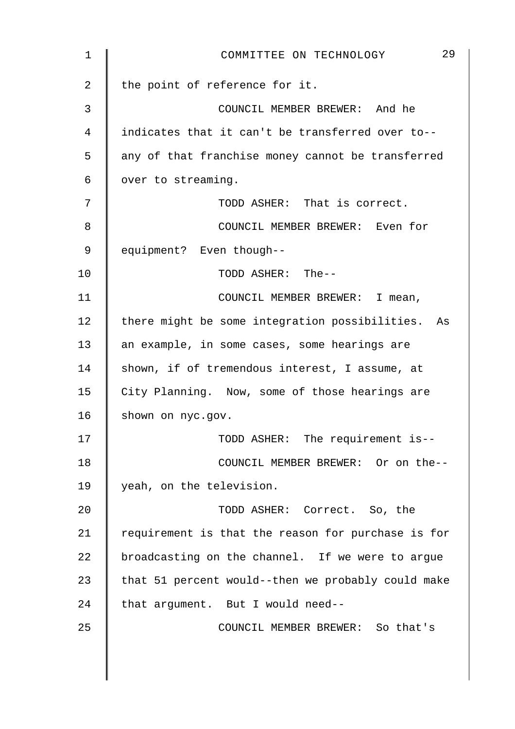| 1  | 29<br>COMMITTEE ON TECHNOLOGY                      |
|----|----------------------------------------------------|
| 2  | the point of reference for it.                     |
| 3  | COUNCIL MEMBER BREWER: And he                      |
| 4  | indicates that it can't be transferred over to--   |
| 5  | any of that franchise money cannot be transferred  |
| 6  | over to streaming.                                 |
| 7  | TODD ASHER: That is correct.                       |
| 8  | COUNCIL MEMBER BREWER: Even for                    |
| 9  | equipment? Even though--                           |
| 10 | TODD ASHER: The--                                  |
| 11 | COUNCIL MEMBER BREWER: I mean,                     |
| 12 | there might be some integration possibilities. As  |
| 13 | an example, in some cases, some hearings are       |
| 14 | shown, if of tremendous interest, I assume, at     |
| 15 | City Planning. Now, some of those hearings are     |
| 16 | shown on nyc.gov.                                  |
| 17 | TODD ASHER: The requirement is--                   |
| 18 | COUNCIL MEMBER BREWER: Or on the--                 |
| 19 | yeah, on the television.                           |
| 20 | TODD ASHER: Correct. So, the                       |
| 21 | requirement is that the reason for purchase is for |
| 22 | broadcasting on the channel. If we were to argue   |
| 23 | that 51 percent would--then we probably could make |
| 24 | that argument. But I would need--                  |
| 25 | COUNCIL MEMBER BREWER: So that's                   |
|    |                                                    |
|    |                                                    |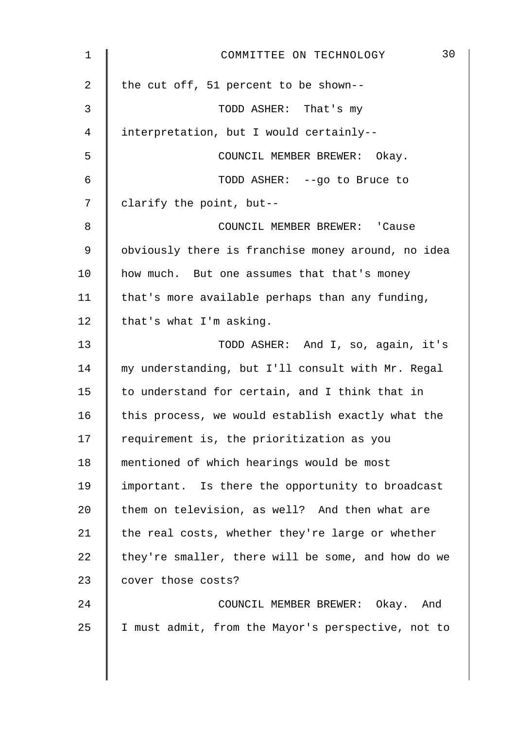| $\mathbf 1$ | 30<br>COMMITTEE ON TECHNOLOGY                      |
|-------------|----------------------------------------------------|
| 2           | the cut off, 51 percent to be shown--              |
| 3           | TODD ASHER: That's my                              |
| 4           | interpretation, but I would certainly--            |
| 5           | COUNCIL MEMBER BREWER: Okay.                       |
| 6           | TODD ASHER: --go to Bruce to                       |
| 7           | clarify the point, but--                           |
| 8           | COUNCIL MEMBER BREWER: 'Cause                      |
| 9           | obviously there is franchise money around, no idea |
| 10          | how much. But one assumes that that's money        |
| 11          | that's more available perhaps than any funding,    |
| 12          | that's what I'm asking.                            |
| 13          | TODD ASHER: And I, so, again, it's                 |
| 14          | my understanding, but I'll consult with Mr. Regal  |
| 15          | to understand for certain, and I think that in     |
| 16          | this process, we would establish exactly what the  |
| 17          | requirement is, the prioritization as you          |
| 18          | mentioned of which hearings would be most          |
| 19          | important. Is there the opportunity to broadcast   |
| 20          | them on television, as well? And then what are     |
| 21          | the real costs, whether they're large or whether   |
| 22          | they're smaller, there will be some, and how do we |
| 23          | cover those costs?                                 |
| 24          | COUNCIL MEMBER BREWER: Okay. And                   |
| 25          | I must admit, from the Mayor's perspective, not to |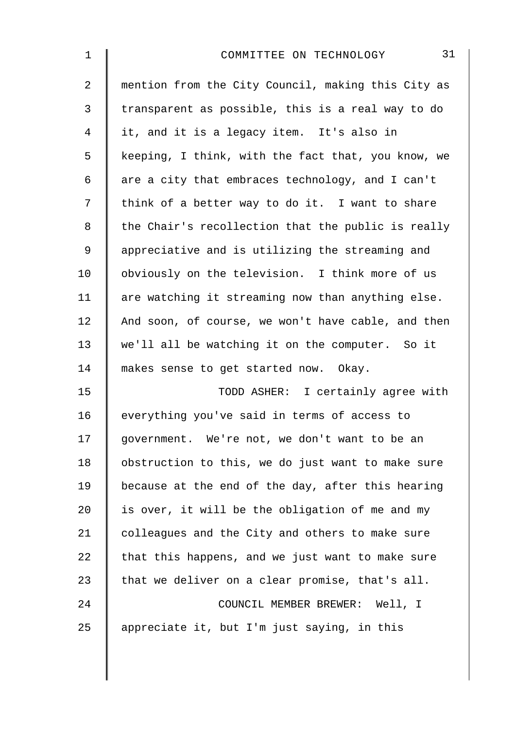| $\mathbf 1$ | 31<br>COMMITTEE ON TECHNOLOGY                      |
|-------------|----------------------------------------------------|
| 2           | mention from the City Council, making this City as |
| 3           | transparent as possible, this is a real way to do  |
| 4           | it, and it is a legacy item. It's also in          |
| 5           | keeping, I think, with the fact that, you know, we |
| 6           | are a city that embraces technology, and I can't   |
| 7           | think of a better way to do it. I want to share    |
| 8           | the Chair's recollection that the public is really |
| $\mathsf 9$ | appreciative and is utilizing the streaming and    |
| 10          | obviously on the television. I think more of us    |
| 11          | are watching it streaming now than anything else.  |
| 12          | And soon, of course, we won't have cable, and then |
| 13          | we'll all be watching it on the computer. So it    |
| 14          | makes sense to get started now. Okay.              |
| 15          | TODD ASHER: I certainly agree with                 |
| 16          | everything you've said in terms of access to       |
| 17          | government. We're not, we don't want to be an      |
| 18          | obstruction to this, we do just want to make sure  |
| 19          | because at the end of the day, after this hearing  |
| 20          | is over, it will be the obligation of me and my    |
| 21          | colleagues and the City and others to make sure    |
| 22          | that this happens, and we just want to make sure   |
| 23          | that we deliver on a clear promise, that's all.    |
| 24          | COUNCIL MEMBER BREWER: Well, I                     |
| 25          | appreciate it, but I'm just saying, in this        |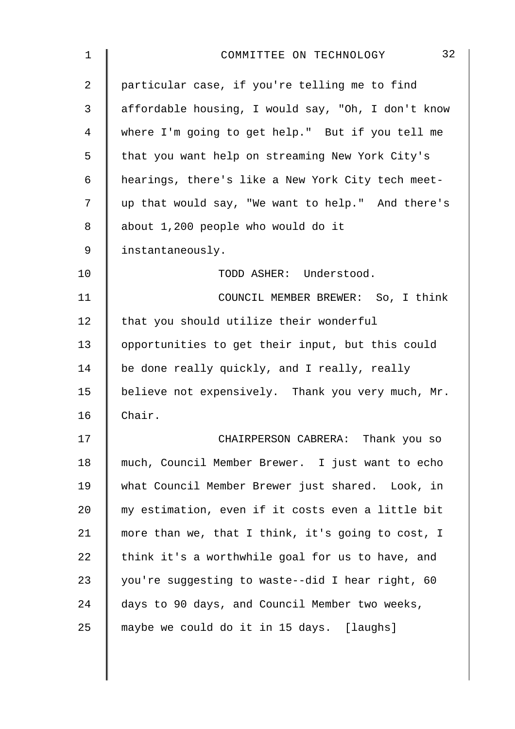| 1              | 32<br>COMMITTEE ON TECHNOLOGY                      |
|----------------|----------------------------------------------------|
| $\overline{2}$ | particular case, if you're telling me to find      |
| 3              | affordable housing, I would say, "Oh, I don't know |
| 4              | where I'm going to get help." But if you tell me   |
| 5              | that you want help on streaming New York City's    |
| 6              | hearings, there's like a New York City tech meet-  |
| 7              | up that would say, "We want to help." And there's  |
| 8              | about 1,200 people who would do it                 |
| $\mathsf 9$    | instantaneously.                                   |
| 10             | TODD ASHER: Understood.                            |
| 11             | COUNCIL MEMBER BREWER: So, I think                 |
| 12             | that you should utilize their wonderful            |
| 13             | opportunities to get their input, but this could   |
| 14             | be done really quickly, and I really, really       |
| 15             | believe not expensively. Thank you very much, Mr.  |
| 16             | Chair.                                             |
| 17             | CHAIRPERSON CABRERA: Thank you so                  |
| 18             | much, Council Member Brewer. I just want to echo   |
| 19             | what Council Member Brewer just shared. Look, in   |
| 20             | my estimation, even if it costs even a little bit  |
| 21             | more than we, that I think, it's going to cost, I  |
| 22             | think it's a worthwhile goal for us to have, and   |
| 23             | you're suggesting to waste--did I hear right, 60   |
| 24             | days to 90 days, and Council Member two weeks,     |
| 25             | maybe we could do it in 15 days. [laughs]          |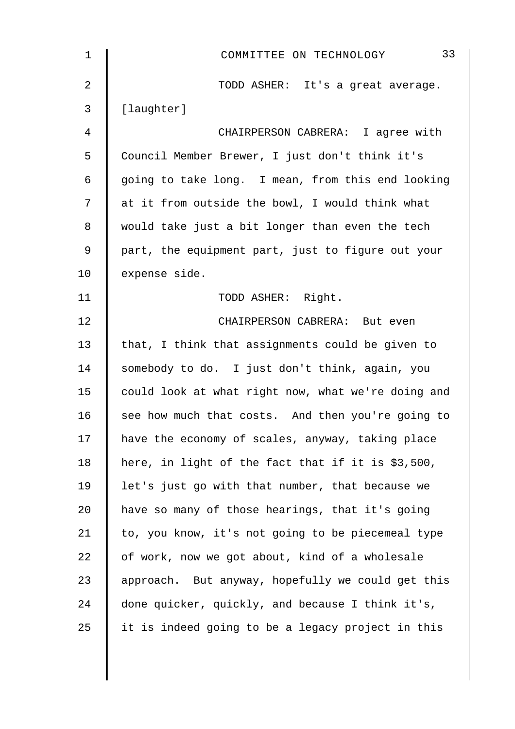| $\mathbf 1$    | 33<br>COMMITTEE ON TECHNOLOGY                      |
|----------------|----------------------------------------------------|
| $\overline{2}$ | TODD ASHER: It's a great average.                  |
| 3              | [laughter]                                         |
| 4              | CHAIRPERSON CABRERA: I agree with                  |
| 5              | Council Member Brewer, I just don't think it's     |
| 6              | going to take long. I mean, from this end looking  |
| 7              | at it from outside the bowl, I would think what    |
| 8              | would take just a bit longer than even the tech    |
| 9              | part, the equipment part, just to figure out your  |
| 10             | expense side.                                      |
| 11             | TODD ASHER: Right.                                 |
| 12             | CHAIRPERSON CABRERA: But even                      |
| 13             | that, I think that assignments could be given to   |
| 14             | somebody to do. I just don't think, again, you     |
| 15             | could look at what right now, what we're doing and |
| 16             | see how much that costs. And then you're going to  |
| 17             | have the economy of scales, anyway, taking place   |
| 18             | here, in light of the fact that if it is \$3,500,  |
| 19             | let's just go with that number, that because we    |
| 20             | have so many of those hearings, that it's going    |
| 21             | to, you know, it's not going to be piecemeal type  |
| 22             | of work, now we got about, kind of a wholesale     |
| 23             | approach. But anyway, hopefully we could get this  |
| 24             | done quicker, quickly, and because I think it's,   |
| 25             | it is indeed going to be a legacy project in this  |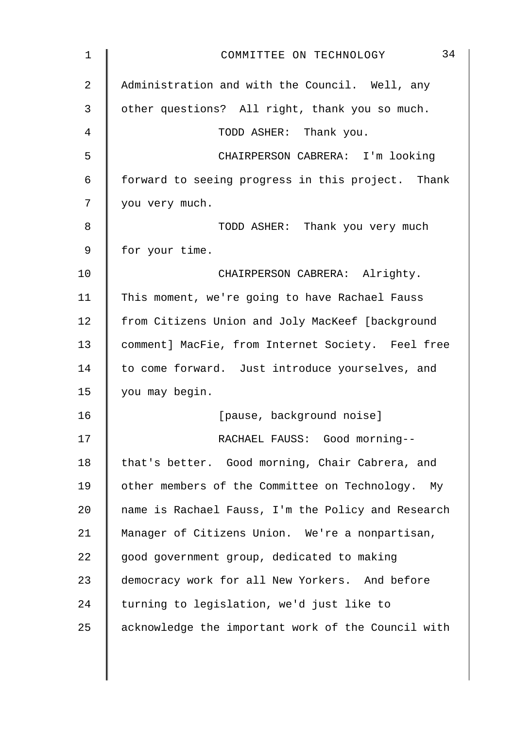| 1  | 34<br>COMMITTEE ON TECHNOLOGY                      |
|----|----------------------------------------------------|
| 2  | Administration and with the Council. Well, any     |
| 3  | other questions? All right, thank you so much.     |
| 4  | TODD ASHER: Thank you.                             |
| 5  | CHAIRPERSON CABRERA: I'm looking                   |
| 6  | forward to seeing progress in this project. Thank  |
| 7  | you very much.                                     |
| 8  | TODD ASHER: Thank you very much                    |
| 9  | for your time.                                     |
| 10 | CHAIRPERSON CABRERA: Alrighty.                     |
| 11 | This moment, we're going to have Rachael Fauss     |
| 12 | from Citizens Union and Joly MacKeef [background   |
| 13 | comment] MacFie, from Internet Society. Feel free  |
| 14 | to come forward. Just introduce yourselves, and    |
| 15 | you may begin.                                     |
| 16 | [pause, background noise]                          |
| 17 | RACHAEL FAUSS: Good morning--                      |
| 18 | that's better. Good morning, Chair Cabrera, and    |
| 19 | other members of the Committee on Technology. My   |
| 20 | name is Rachael Fauss, I'm the Policy and Research |
| 21 | Manager of Citizens Union. We're a nonpartisan,    |
| 22 | good government group, dedicated to making         |
| 23 | democracy work for all New Yorkers. And before     |
| 24 | turning to legislation, we'd just like to          |
| 25 | acknowledge the important work of the Council with |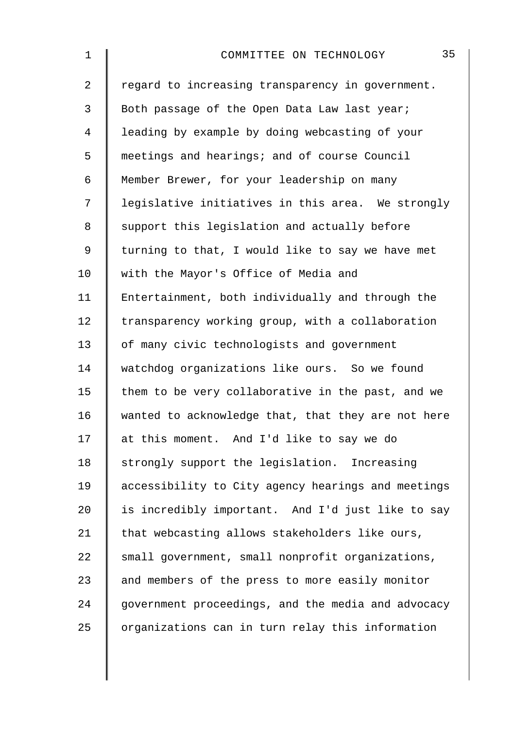| $\mathbf 1$    | 35<br>COMMITTEE ON TECHNOLOGY                      |
|----------------|----------------------------------------------------|
| $\overline{a}$ | regard to increasing transparency in government.   |
| 3              | Both passage of the Open Data Law last year;       |
| 4              | leading by example by doing webcasting of your     |
| 5              | meetings and hearings; and of course Council       |
| 6              | Member Brewer, for your leadership on many         |
| 7              | legislative initiatives in this area. We strongly  |
| 8              | support this legislation and actually before       |
| 9              | turning to that, I would like to say we have met   |
| 10             | with the Mayor's Office of Media and               |
| 11             | Entertainment, both individually and through the   |
| 12             | transparency working group, with a collaboration   |
| 13             | of many civic technologists and government         |
| 14             | watchdog organizations like ours. So we found      |
| 15             | them to be very collaborative in the past, and we  |
| 16             | wanted to acknowledge that, that they are not here |
| 17             | at this moment. And I'd like to say we do          |
| 18             | strongly support the legislation. Increasing       |
| 19             | accessibility to City agency hearings and meetings |
| 20             | is incredibly important. And I'd just like to say  |
| 21             | that webcasting allows stakeholders like ours,     |
| 22             | small government, small nonprofit organizations,   |
| 23             | and members of the press to more easily monitor    |
| 24             | government proceedings, and the media and advocacy |
| 25             | organizations can in turn relay this information   |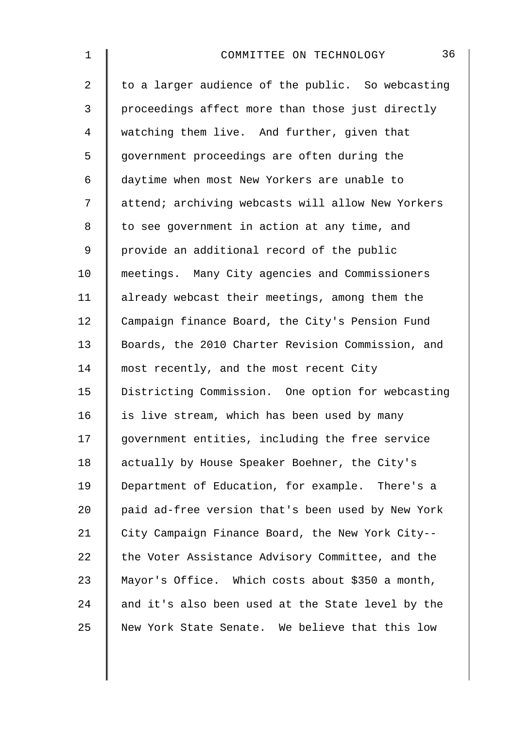| $\mathbf 1$    | 36<br>COMMITTEE ON TECHNOLOGY                     |
|----------------|---------------------------------------------------|
| $\overline{a}$ | to a larger audience of the public. So webcasting |
| $\mathfrak{Z}$ | proceedings affect more than those just directly  |
| 4              | watching them live. And further, given that       |
| 5              | government proceedings are often during the       |
| 6              | daytime when most New Yorkers are unable to       |
| 7              | attend; archiving webcasts will allow New Yorkers |
| 8              | to see government in action at any time, and      |
| 9              | provide an additional record of the public        |
| 10             | meetings. Many City agencies and Commissioners    |
| 11             | already webcast their meetings, among them the    |
| 12             | Campaign finance Board, the City's Pension Fund   |
| 13             | Boards, the 2010 Charter Revision Commission, and |
| 14             | most recently, and the most recent City           |
| 15             | Districting Commission. One option for webcasting |
| 16             | is live stream, which has been used by many       |
| 17             | government entities, including the free service   |
| 18             | actually by House Speaker Boehner, the City's     |
| 19             | Department of Education, for example. There's a   |
| 20             | paid ad-free version that's been used by New York |
| 21             | City Campaign Finance Board, the New York City--  |
| 22             | the Voter Assistance Advisory Committee, and the  |
| 23             | Mayor's Office. Which costs about \$350 a month,  |
| 24             | and it's also been used at the State level by the |
| 25             | New York State Senate. We believe that this low   |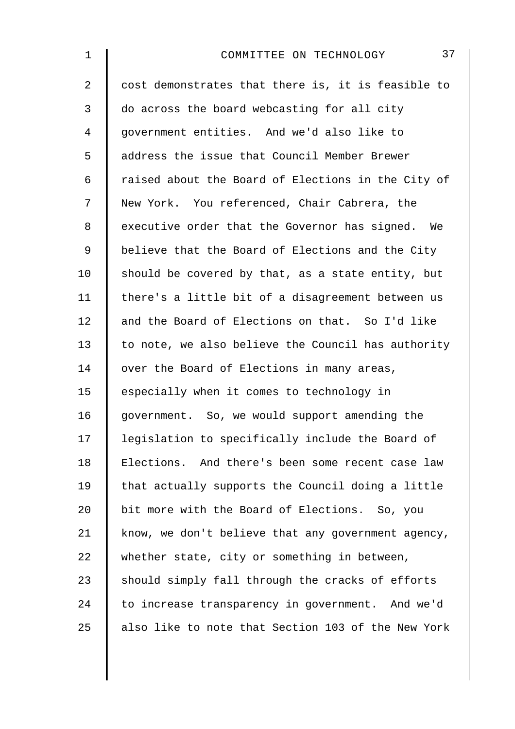| $\mathbf 1$ | 37<br>COMMITTEE ON TECHNOLOGY                      |
|-------------|----------------------------------------------------|
| 2           | cost demonstrates that there is, it is feasible to |
| 3           | do across the board webcasting for all city        |
| 4           | government entities. And we'd also like to         |
| 5           | address the issue that Council Member Brewer       |
| 6           | raised about the Board of Elections in the City of |
| 7           | New York. You referenced, Chair Cabrera, the       |
| 8           | executive order that the Governor has signed. We   |
| 9           | believe that the Board of Elections and the City   |
| 10          | should be covered by that, as a state entity, but  |
| 11          | there's a little bit of a disagreement between us  |
| 12          | and the Board of Elections on that. So I'd like    |
| 13          | to note, we also believe the Council has authority |
| 14          | over the Board of Elections in many areas,         |
| 15          | especially when it comes to technology in          |
| 16          | government. So, we would support amending the      |
| 17          | legislation to specifically include the Board of   |
| 18          | Elections. And there's been some recent case law   |
| 19          | that actually supports the Council doing a little  |
| 20          | bit more with the Board of Elections. So, you      |
| 21          | know, we don't believe that any government agency, |
| 22          | whether state, city or something in between,       |
| 23          | should simply fall through the cracks of efforts   |
| 24          | to increase transparency in government. And we'd   |
| 25          | also like to note that Section 103 of the New York |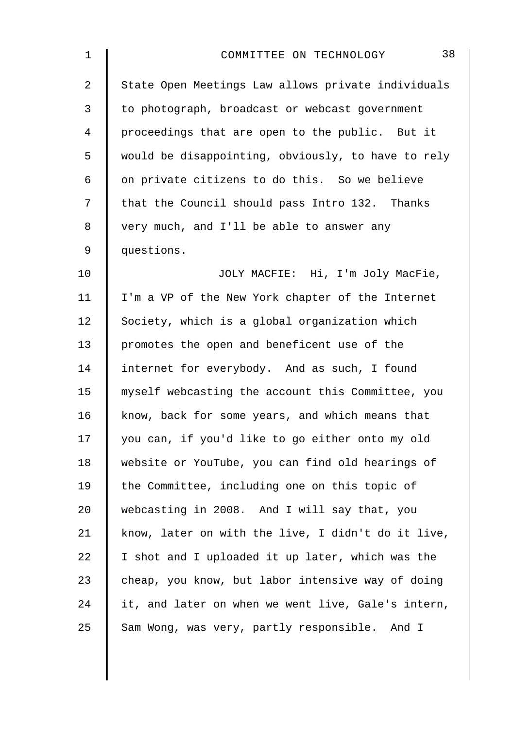| 1              | 38<br>COMMITTEE ON TECHNOLOGY                      |
|----------------|----------------------------------------------------|
| $\overline{a}$ | State Open Meetings Law allows private individuals |
| 3              | to photograph, broadcast or webcast government     |
| 4              | proceedings that are open to the public. But it    |
| 5              | would be disappointing, obviously, to have to rely |
| 6              | on private citizens to do this. So we believe      |
| 7              | that the Council should pass Intro 132. Thanks     |
| 8              | very much, and I'll be able to answer any          |
| $\mathsf 9$    | questions.                                         |
| 10             | JOLY MACFIE: Hi, I'm Joly MacFie,                  |
| 11             | I'm a VP of the New York chapter of the Internet   |
| 12             | Society, which is a global organization which      |
| 13             | promotes the open and beneficent use of the        |
| 14             | internet for everybody. And as such, I found       |
| 15             | myself webcasting the account this Committee, you  |
| 16             | know, back for some years, and which means that    |
| 17             | you can, if you'd like to go either onto my old    |
| 18             | website or YouTube, you can find old hearings of   |
| 19             | the Committee, including one on this topic of      |
| 20             | webcasting in 2008. And I will say that, you       |
| 21             | know, later on with the live, I didn't do it live, |
| 22             | I shot and I uploaded it up later, which was the   |
| 23             | cheap, you know, but labor intensive way of doing  |
| 24             | it, and later on when we went live, Gale's intern, |
| 25             | Sam Wong, was very, partly responsible. And I      |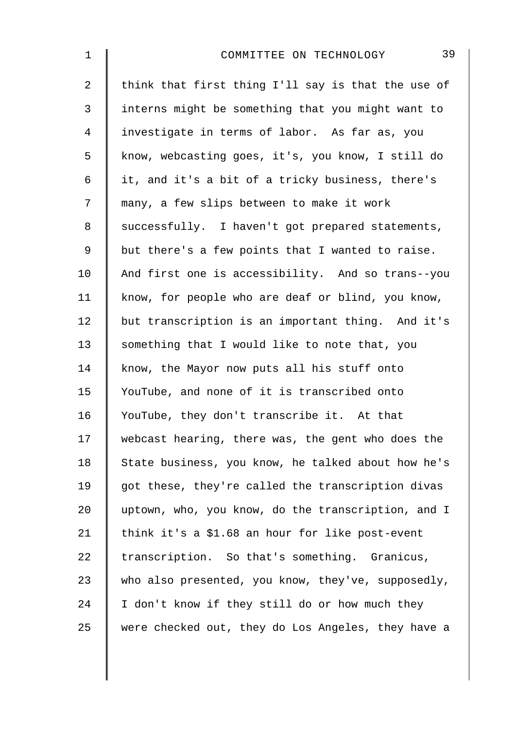| $\mathbf 1$    | 39<br>COMMITTEE ON TECHNOLOGY                      |
|----------------|----------------------------------------------------|
| $\overline{a}$ | think that first thing I'll say is that the use of |
| $\mathfrak{Z}$ | interns might be something that you might want to  |
| 4              | investigate in terms of labor. As far as, you      |
| 5              | know, webcasting goes, it's, you know, I still do  |
| 6              | it, and it's a bit of a tricky business, there's   |
| 7              | many, a few slips between to make it work          |
| 8              | successfully. I haven't got prepared statements,   |
| $\mathsf 9$    | but there's a few points that I wanted to raise.   |
| 10             | And first one is accessibility. And so trans--you  |
| 11             | know, for people who are deaf or blind, you know,  |
| 12             | but transcription is an important thing. And it's  |
| 13             | something that I would like to note that, you      |
| 14             | know, the Mayor now puts all his stuff onto        |
| 15             | YouTube, and none of it is transcribed onto        |
| 16             | YouTube, they don't transcribe it. At that         |
| 17             | webcast hearing, there was, the gent who does the  |
| 18             | State business, you know, he talked about how he's |
| 19             | got these, they're called the transcription divas  |
| 20             | uptown, who, you know, do the transcription, and I |
| 21             | think it's a \$1.68 an hour for like post-event    |
| 22             | transcription. So that's something. Granicus,      |
| 23             | who also presented, you know, they've, supposedly, |
| 24             | I don't know if they still do or how much they     |
| 25             | were checked out, they do Los Angeles, they have a |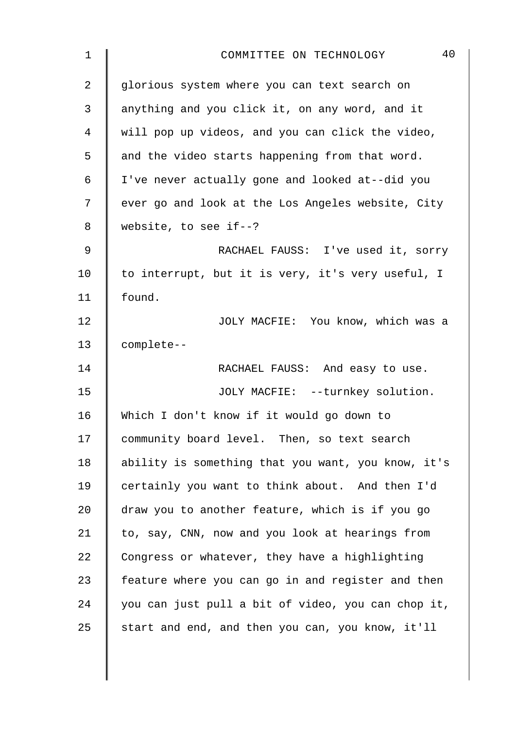| $\mathbf 1$ | 40<br>COMMITTEE ON TECHNOLOGY                      |
|-------------|----------------------------------------------------|
| 2           | glorious system where you can text search on       |
| 3           | anything and you click it, on any word, and it     |
| 4           | will pop up videos, and you can click the video,   |
| 5           | and the video starts happening from that word.     |
| $\epsilon$  | I've never actually gone and looked at--did you    |
| 7           | ever go and look at the Los Angeles website, City  |
| 8           | website, to see if- $-?$                           |
| 9           | RACHAEL FAUSS: I've used it, sorry                 |
| 10          | to interrupt, but it is very, it's very useful, I  |
| 11          | found.                                             |
| 12          | JOLY MACFIE: You know, which was a                 |
| 13          | complete--                                         |
| 14          | RACHAEL FAUSS: And easy to use.                    |
| 15          | JOLY MACFIE: --turnkey solution.                   |
| 16          | Which I don't know if it would go down to          |
| 17          | community board level. Then, so text search        |
| 18          | ability is something that you want, you know, it's |
| 19          | certainly you want to think about. And then I'd    |
| 20          | draw you to another feature, which is if you go    |
| 21          | to, say, CNN, now and you look at hearings from    |
| 22          | Congress or whatever, they have a highlighting     |
| 23          | feature where you can go in and register and then  |
| 24          | you can just pull a bit of video, you can chop it, |
| 25          | start and end, and then you can, you know, it'll   |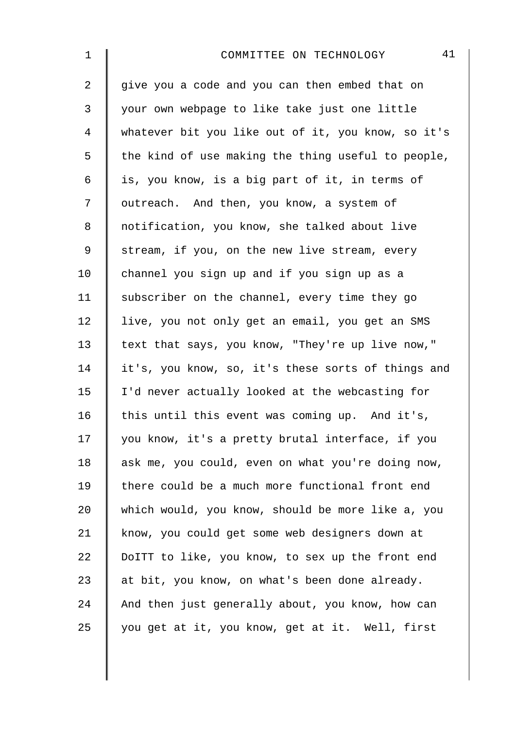| $\mathbf 1$    | 41<br>COMMITTEE ON TECHNOLOGY                      |
|----------------|----------------------------------------------------|
| $\overline{2}$ | give you a code and you can then embed that on     |
| 3              | your own webpage to like take just one little      |
| 4              | whatever bit you like out of it, you know, so it's |
| 5              | the kind of use making the thing useful to people, |
| 6              | is, you know, is a big part of it, in terms of     |
| 7              | outreach. And then, you know, a system of          |
| 8              | notification, you know, she talked about live      |
| 9              | stream, if you, on the new live stream, every      |
| 10             | channel you sign up and if you sign up as a        |
| 11             | subscriber on the channel, every time they go      |
| 12             | live, you not only get an email, you get an SMS    |
| 13             | text that says, you know, "They're up live now,"   |
| 14             | it's, you know, so, it's these sorts of things and |
| 15             | I'd never actually looked at the webcasting for    |
| 16             | this until this event was coming up. And it's,     |
| 17             | you know, it's a pretty brutal interface, if you   |
| 18             | ask me, you could, even on what you're doing now,  |
| 19             | there could be a much more functional front end    |
| 20             | which would, you know, should be more like a, you  |
| 21             | know, you could get some web designers down at     |
| 22             | DoITT to like, you know, to sex up the front end   |
| 23             | at bit, you know, on what's been done already.     |
| 24             | And then just generally about, you know, how can   |
| 25             | you get at it, you know, get at it. Well, first    |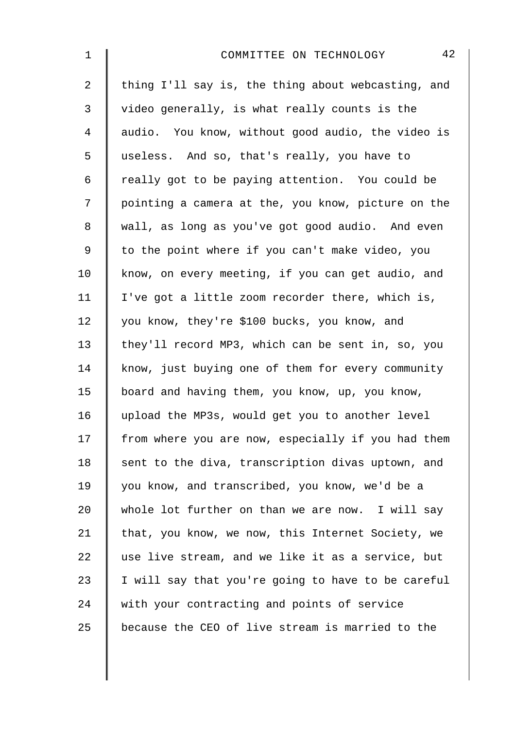| $\mathbf 1$    | 42<br>COMMITTEE ON TECHNOLOGY                      |
|----------------|----------------------------------------------------|
| $\overline{a}$ | thing I'll say is, the thing about webcasting, and |
| 3              | video generally, is what really counts is the      |
| 4              | audio. You know, without good audio, the video is  |
| 5              | useless. And so, that's really, you have to        |
| 6              | really got to be paying attention. You could be    |
| 7              | pointing a camera at the, you know, picture on the |
| 8              | wall, as long as you've got good audio. And even   |
| $\mathsf 9$    | to the point where if you can't make video, you    |
| 10             | know, on every meeting, if you can get audio, and  |
| 11             | I've got a little zoom recorder there, which is,   |
| 12             | you know, they're \$100 bucks, you know, and       |
| 13             | they'll record MP3, which can be sent in, so, you  |
| 14             | know, just buying one of them for every community  |
| 15             | board and having them, you know, up, you know,     |
| 16             | upload the MP3s, would get you to another level    |
| 17             | from where you are now, especially if you had them |
| 18             | sent to the diva, transcription divas uptown, and  |
| 19             | you know, and transcribed, you know, we'd be a     |
| 20             | whole lot further on than we are now. I will say   |
| 21             | that, you know, we now, this Internet Society, we  |
| 22             | use live stream, and we like it as a service, but  |
| 23             | I will say that you're going to have to be careful |
| 24             | with your contracting and points of service        |
| 25             | because the CEO of live stream is married to the   |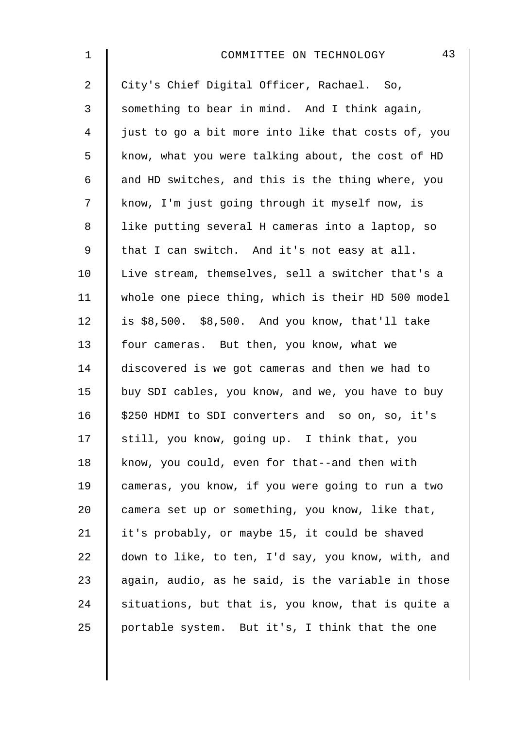| 1              | 43<br>COMMITTEE ON TECHNOLOGY                      |
|----------------|----------------------------------------------------|
| $\overline{2}$ | City's Chief Digital Officer, Rachael. So,         |
| 3              | something to bear in mind. And I think again,      |
| 4              | just to go a bit more into like that costs of, you |
| 5              | know, what you were talking about, the cost of HD  |
| 6              | and HD switches, and this is the thing where, you  |
| 7              | know, I'm just going through it myself now, is     |
| 8              | like putting several H cameras into a laptop, so   |
| $\mathsf 9$    | that I can switch. And it's not easy at all.       |
| 10             | Live stream, themselves, sell a switcher that's a  |
| 11             | whole one piece thing, which is their HD 500 model |
| 12             | is $$8,500.$ $$8,500.$ And you know, that'll take  |
| 13             | four cameras. But then, you know, what we          |
| 14             | discovered is we got cameras and then we had to    |
| 15             | buy SDI cables, you know, and we, you have to buy  |
| 16             | \$250 HDMI to SDI converters and so on, so, it's   |
| 17             | still, you know, going up. I think that, you       |
| 18             | know, you could, even for that--and then with      |
| 19             | cameras, you know, if you were going to run a two  |
| 20             | camera set up or something, you know, like that,   |
| 21             | it's probably, or maybe 15, it could be shaved     |
| 22             | down to like, to ten, I'd say, you know, with, and |
| 23             | again, audio, as he said, is the variable in those |
| 24             | situations, but that is, you know, that is quite a |
| 25             | portable system. But it's, I think that the one    |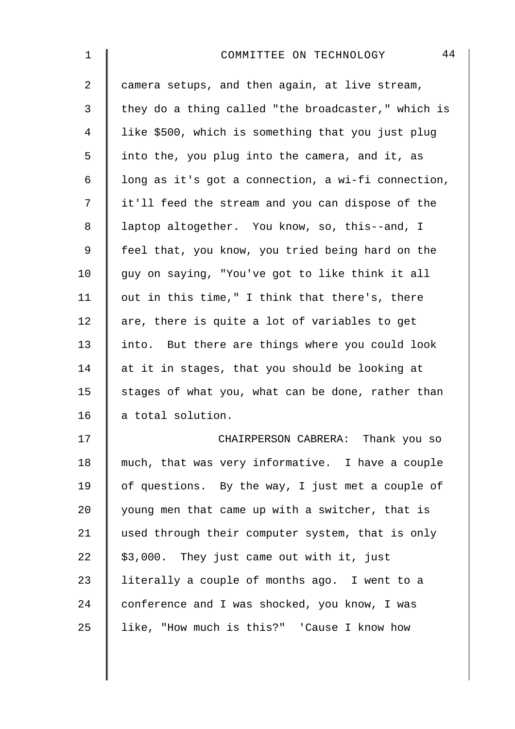| $\mathbf 1$    | 44<br>COMMITTEE ON TECHNOLOGY                      |
|----------------|----------------------------------------------------|
| $\overline{a}$ | camera setups, and then again, at live stream,     |
| 3              | they do a thing called "the broadcaster," which is |
| $\overline{4}$ | like \$500, which is something that you just plug  |
| 5              | into the, you plug into the camera, and it, as     |
| 6              | long as it's got a connection, a wi-fi connection, |
| 7              | it'll feed the stream and you can dispose of the   |
| 8              | laptop altogether. You know, so, this--and, I      |
| 9              | feel that, you know, you tried being hard on the   |
| 10             | guy on saying, "You've got to like think it all    |
| 11             | out in this time," I think that there's, there     |
| 12             | are, there is quite a lot of variables to get      |
| 13             | into. But there are things where you could look    |
| 14             | at it in stages, that you should be looking at     |
| 15             | stages of what you, what can be done, rather than  |
| 16             | a total solution.                                  |
| 17             | CHAIRPERSON CABRERA: Thank you so                  |
| 18             | much, that was very informative. I have a couple   |
| 19             | of questions. By the way, I just met a couple of   |
| 20             | young men that came up with a switcher, that is    |
| 21             | used through their computer system, that is only   |
| 22             | \$3,000. They just came out with it, just          |
| 23             | literally a couple of months ago. I went to a      |
| 24             | conference and I was shocked, you know, I was      |
| 25             | like, "How much is this?" 'Cause I know how        |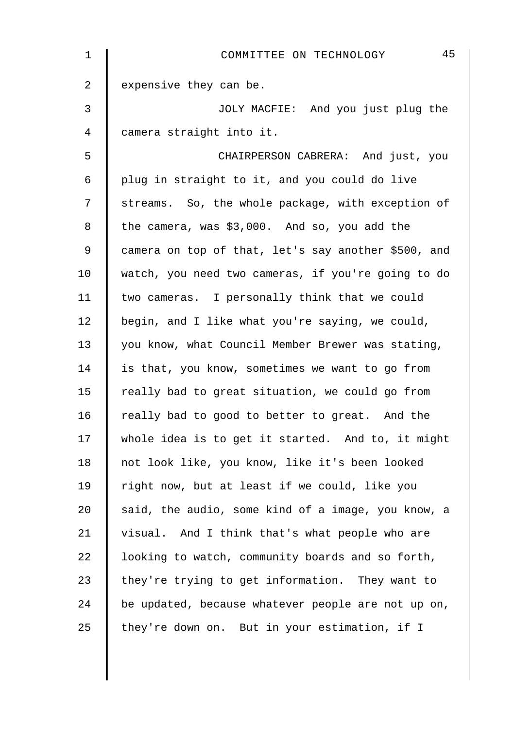| $\mathbf 1$ | 45<br>COMMITTEE ON TECHNOLOGY                       |
|-------------|-----------------------------------------------------|
| 2           | expensive they can be.                              |
| 3           | JOLY MACFIE: And you just plug the                  |
| 4           | camera straight into it.                            |
| 5           | CHAIRPERSON CABRERA: And just, you                  |
| 6           | plug in straight to it, and you could do live       |
| 7           | streams. So, the whole package, with exception of   |
| 8           | the camera, was \$3,000. And so, you add the        |
| 9           | camera on top of that, let's say another \$500, and |
| 10          | watch, you need two cameras, if you're going to do  |
| 11          | two cameras. I personally think that we could       |
| 12          | begin, and I like what you're saying, we could,     |
| 13          | you know, what Council Member Brewer was stating,   |
| 14          | is that, you know, sometimes we want to go from     |
| 15          | really bad to great situation, we could go from     |
| 16          | really bad to good to better to great. And the      |
| 17          | whole idea is to get it started. And to, it might   |
| 18          | not look like, you know, like it's been looked      |
| 19          | right now, but at least if we could, like you       |
| 20          | said, the audio, some kind of a image, you know, a  |
| 21          | visual. And I think that's what people who are      |
| 22          | looking to watch, community boards and so forth,    |
| 23          | they're trying to get information. They want to     |
| 24          | be updated, because whatever people are not up on,  |
| 25          | they're down on. But in your estimation, if I       |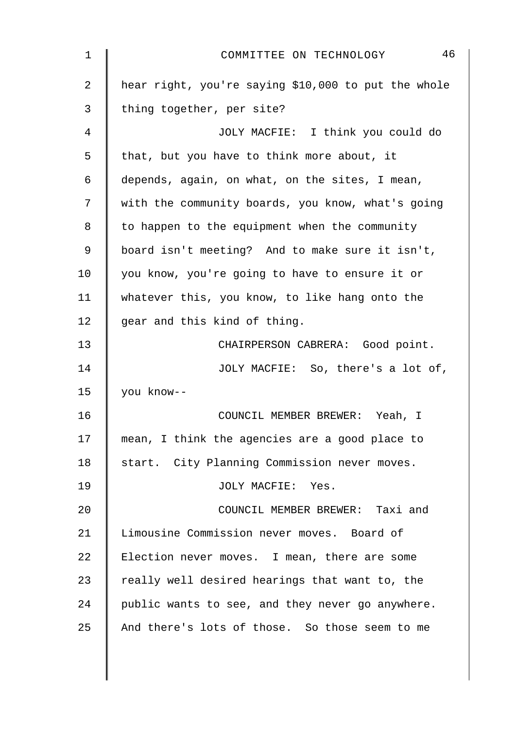| 1  | 46<br>COMMITTEE ON TECHNOLOGY                       |
|----|-----------------------------------------------------|
| 2  | hear right, you're saying \$10,000 to put the whole |
| 3  | thing together, per site?                           |
| 4  | JOLY MACFIE: I think you could do                   |
| 5  | that, but you have to think more about, it          |
| 6  | depends, again, on what, on the sites, I mean,      |
| 7  | with the community boards, you know, what's going   |
| 8  | to happen to the equipment when the community       |
| 9  | board isn't meeting? And to make sure it isn't,     |
| 10 | you know, you're going to have to ensure it or      |
| 11 | whatever this, you know, to like hang onto the      |
| 12 | gear and this kind of thing.                        |
| 13 | CHAIRPERSON CABRERA: Good point.                    |
| 14 | JOLY MACFIE: So, there's a lot of,                  |
| 15 | you know--                                          |
| 16 | COUNCIL MEMBER BREWER: Yeah, I                      |
| 17 | mean, I think the agencies are a good place to      |
| 18 | start. City Planning Commission never moves.        |
| 19 | JOLY MACFIE: Yes.                                   |
| 20 | COUNCIL MEMBER BREWER: Taxi and                     |
| 21 | Limousine Commission never moves. Board of          |
| 22 | Election never moves. I mean, there are some        |
| 23 | really well desired hearings that want to, the      |
| 24 | public wants to see, and they never go anywhere.    |
| 25 | And there's lots of those. So those seem to me      |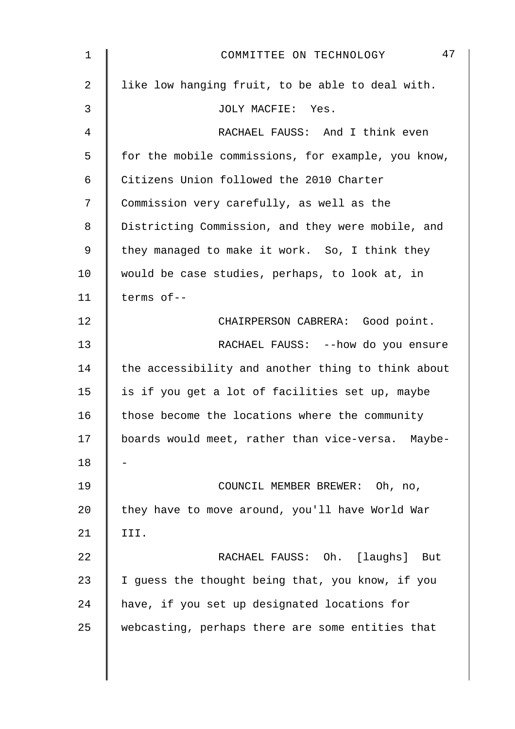| 1  | 47<br>COMMITTEE ON TECHNOLOGY                      |
|----|----------------------------------------------------|
| 2  | like low hanging fruit, to be able to deal with.   |
| 3  | JOLY MACFIE: Yes.                                  |
| 4  | RACHAEL FAUSS: And I think even                    |
| 5  | for the mobile commissions, for example, you know, |
| 6  | Citizens Union followed the 2010 Charter           |
| 7  | Commission very carefully, as well as the          |
| 8  | Districting Commission, and they were mobile, and  |
| 9  | they managed to make it work. So, I think they     |
| 10 | would be case studies, perhaps, to look at, in     |
| 11 | terms of--                                         |
| 12 | CHAIRPERSON CABRERA: Good point.                   |
| 13 | RACHAEL FAUSS: -- how do you ensure                |
| 14 | the accessibility and another thing to think about |
| 15 | is if you get a lot of facilities set up, maybe    |
| 16 | those become the locations where the community     |
| 17 | boards would meet, rather than vice-versa. Maybe-  |
| 18 |                                                    |
| 19 | COUNCIL MEMBER BREWER: Oh, no,                     |
| 20 | they have to move around, you'll have World War    |
| 21 | III.                                               |
| 22 | RACHAEL FAUSS: Oh. [laughs]<br>But                 |
| 23 | I guess the thought being that, you know, if you   |
| 24 | have, if you set up designated locations for       |
| 25 | webcasting, perhaps there are some entities that   |
|    |                                                    |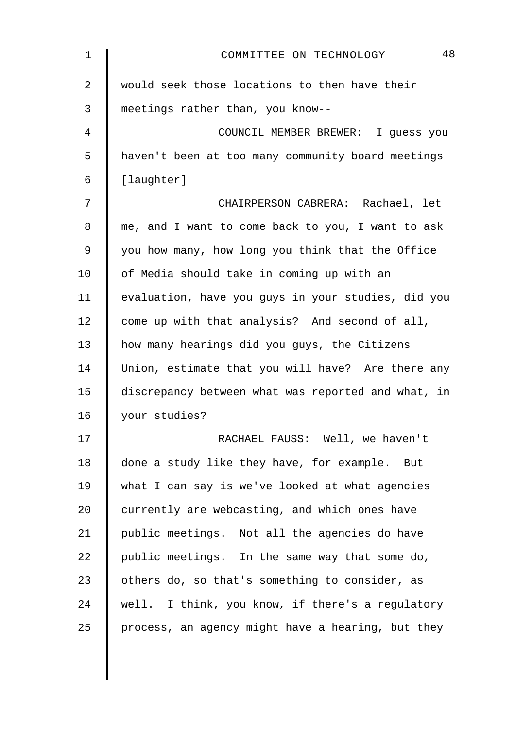| $\mathbf 1$    | 48<br>COMMITTEE ON TECHNOLOGY                      |
|----------------|----------------------------------------------------|
| $\overline{2}$ | would seek those locations to then have their      |
| 3              | meetings rather than, you know--                   |
| 4              | COUNCIL MEMBER BREWER: I guess you                 |
| 5              | haven't been at too many community board meetings  |
| 6              | [laughter]                                         |
| 7              | CHAIRPERSON CABRERA: Rachael, let                  |
| 8              | me, and I want to come back to you, I want to ask  |
| 9              | you how many, how long you think that the Office   |
| 10             | of Media should take in coming up with an          |
| 11             | evaluation, have you guys in your studies, did you |
| 12             | come up with that analysis? And second of all,     |
| 13             | how many hearings did you guys, the Citizens       |
| 14             | Union, estimate that you will have? Are there any  |
| 15             | discrepancy between what was reported and what, in |
| 16             | your studies?                                      |
| 17             | RACHAEL FAUSS: Well, we haven't                    |
| 18             | done a study like they have, for example. But      |
| 19             | what I can say is we've looked at what agencies    |
| 20             | currently are webcasting, and which ones have      |
| 21             | public meetings. Not all the agencies do have      |
| 22             | public meetings. In the same way that some do,     |
| 23             | others do, so that's something to consider, as     |
| 24             | well. I think, you know, if there's a regulatory   |
| 25             | process, an agency might have a hearing, but they  |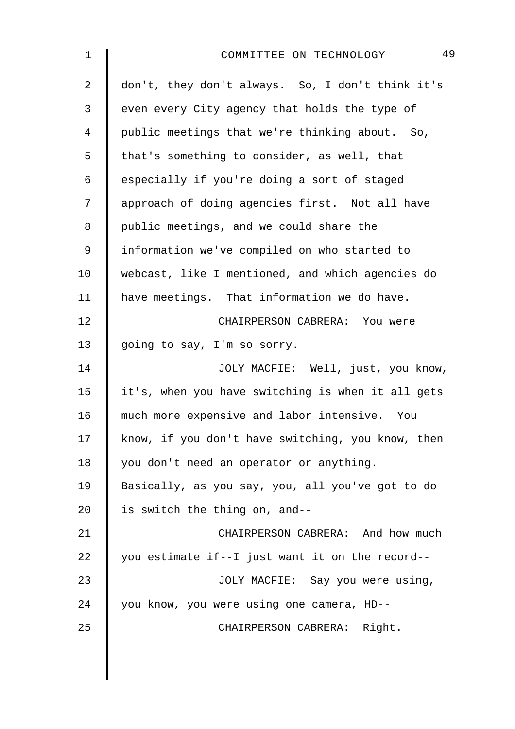| $\mathbf 1$    | 49<br>COMMITTEE ON TECHNOLOGY                     |
|----------------|---------------------------------------------------|
| $\overline{2}$ | don't, they don't always. So, I don't think it's  |
| 3              | even every City agency that holds the type of     |
| $\overline{4}$ | public meetings that we're thinking about. So,    |
| 5              | that's something to consider, as well, that       |
| 6              | especially if you're doing a sort of staged       |
| 7              | approach of doing agencies first. Not all have    |
| $\,8\,$        | public meetings, and we could share the           |
| $\mathsf 9$    | information we've compiled on who started to      |
| 10             | webcast, like I mentioned, and which agencies do  |
| 11             | have meetings. That information we do have.       |
| 12             | CHAIRPERSON CABRERA: You were                     |
| 13             | going to say, I'm so sorry.                       |
| 14             | JOLY MACFIE: Well, just, you know,                |
| 15             | it's, when you have switching is when it all gets |
| 16             | much more expensive and labor intensive. You      |
| 17             | know, if you don't have switching, you know, then |
| 18             | you don't need an operator or anything.           |
| 19             | Basically, as you say, you, all you've got to do  |
| 20             | is switch the thing on, and--                     |
| 21             | CHAIRPERSON CABRERA: And how much                 |
| 22             | you estimate if--I just want it on the record--   |
| 23             | JOLY MACFIE: Say you were using,                  |
| 24             | you know, you were using one camera, HD--         |
| 25             | CHAIRPERSON CABRERA: Right.                       |
|                |                                                   |
|                |                                                   |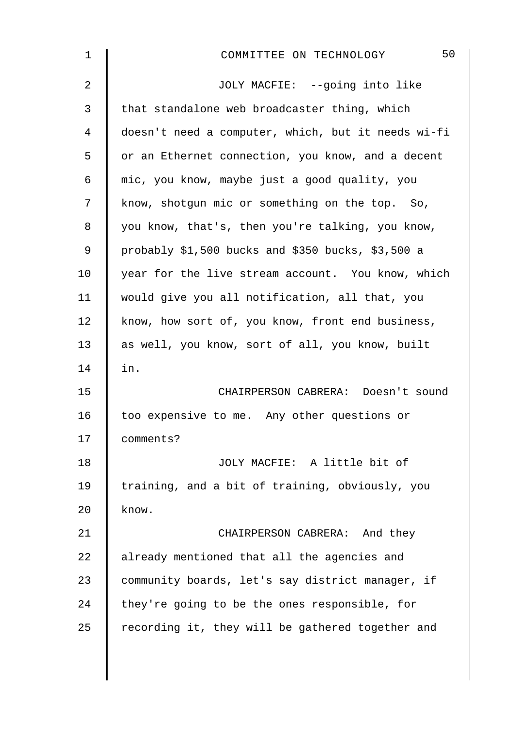| 50<br>COMMITTEE ON TECHNOLOGY                        |
|------------------------------------------------------|
| JOLY MACFIE: --going into like                       |
| that standalone web broadcaster thing, which         |
| doesn't need a computer, which, but it needs wi-fi   |
| or an Ethernet connection, you know, and a decent    |
| mic, you know, maybe just a good quality, you        |
| know, shotgun mic or something on the top. So,       |
| you know, that's, then you're talking, you know,     |
| probably $$1,500$ bucks and $$350$ bucks, $$3,500$ a |
| year for the live stream account. You know, which    |
| would give you all notification, all that, you       |
| know, how sort of, you know, front end business,     |
| as well, you know, sort of all, you know, built      |
| in.                                                  |
| CHAIRPERSON CABRERA: Doesn't sound                   |
| too expensive to me. Any other questions or          |
| comments?                                            |
| JOLY MACFIE: A little bit of                         |
| training, and a bit of training, obviously, you      |
| know.                                                |
| CHAIRPERSON CABRERA: And they                        |
| already mentioned that all the agencies and          |
| community boards, let's say district manager, if     |
| they're going to be the ones responsible, for        |
| recording it, they will be gathered together and     |
|                                                      |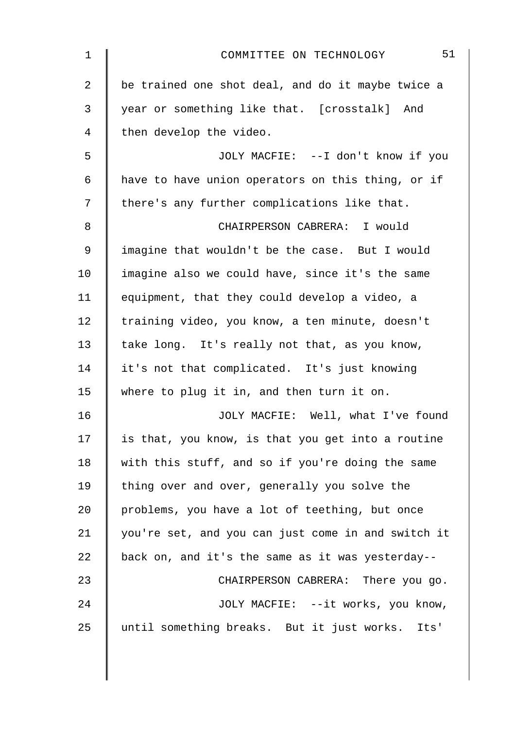| 1              | 51<br>COMMITTEE ON TECHNOLOGY                      |
|----------------|----------------------------------------------------|
| $\overline{a}$ | be trained one shot deal, and do it maybe twice a  |
| 3              | year or something like that. [crosstalk] And       |
| 4              | then develop the video.                            |
| 5              | JOLY MACFIE: --I don't know if you                 |
| 6              | have to have union operators on this thing, or if  |
| 7              | there's any further complications like that.       |
| 8              | CHAIRPERSON CABRERA: I would                       |
| 9              | imagine that wouldn't be the case. But I would     |
| 10             | imagine also we could have, since it's the same    |
| 11             | equipment, that they could develop a video, a      |
| 12             | training video, you know, a ten minute, doesn't    |
| 13             | take long. It's really not that, as you know,      |
| 14             | it's not that complicated. It's just knowing       |
| 15             | where to plug it in, and then turn it on.          |
| 16             | JOLY MACFIE: Well, what I've found                 |
| 17             | is that, you know, is that you get into a routine  |
| 18             | with this stuff, and so if you're doing the same   |
| 19             | thing over and over, generally you solve the       |
| 20             | problems, you have a lot of teething, but once     |
| 21             | you're set, and you can just come in and switch it |
| 22             | back on, and it's the same as it was yesterday--   |
| 23             | CHAIRPERSON CABRERA: There you go.                 |
| 24             | JOLY MACFIE: --it works, you know,                 |
| 25             | until something breaks. But it just works. Its'    |
|                |                                                    |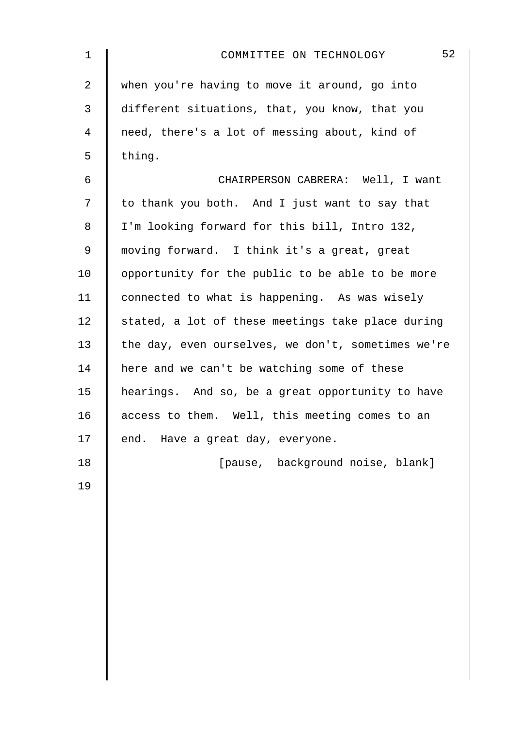| $\mathbf 1$ | 52<br>COMMITTEE ON TECHNOLOGY                      |
|-------------|----------------------------------------------------|
| 2           | when you're having to move it around, go into      |
| 3           | different situations, that, you know, that you     |
| 4           | need, there's a lot of messing about, kind of      |
| 5           | thing.                                             |
| 6           | CHAIRPERSON CABRERA: Well, I want                  |
| 7           | to thank you both. And I just want to say that     |
| 8           | I'm looking forward for this bill, Intro 132,      |
| 9           | moving forward. I think it's a great, great        |
| 10          | opportunity for the public to be able to be more   |
| 11          | connected to what is happening. As was wisely      |
| 12          | stated, a lot of these meetings take place during  |
| 13          | the day, even ourselves, we don't, sometimes we're |
| 14          | here and we can't be watching some of these        |
| 15          | hearings. And so, be a great opportunity to have   |
| 16          | access to them. Well, this meeting comes to an     |
| 17          | end.<br>Have a great day, everyone.                |
| 18          | [pause, background noise, blank]                   |
| 19          |                                                    |
|             |                                                    |
|             |                                                    |
|             |                                                    |
|             |                                                    |
|             |                                                    |
|             |                                                    |
|             |                                                    |
|             |                                                    |